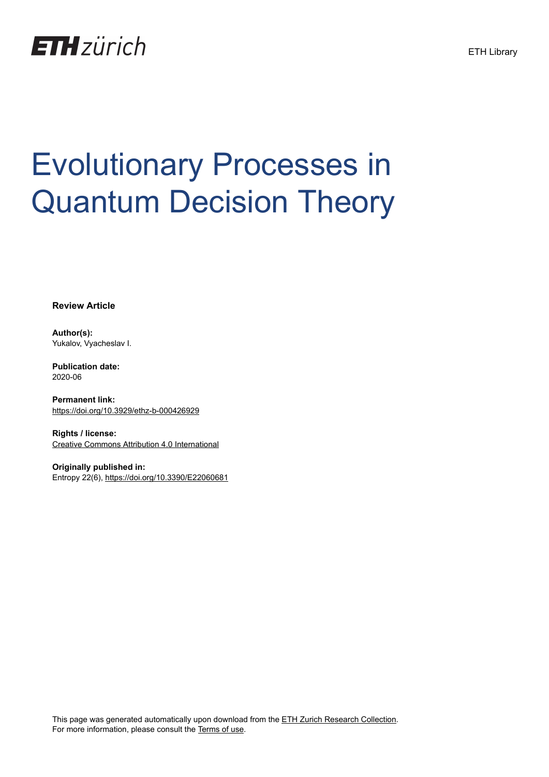

# Evolutionary Processes in Quantum Decision Theory

**Review Article**

**Author(s):** Yukalov, Vyacheslav I.

**Publication date:** 2020-06

**Permanent link:** <https://doi.org/10.3929/ethz-b-000426929>

**Rights / license:** [Creative Commons Attribution 4.0 International](http://creativecommons.org/licenses/by/4.0/)

**Originally published in:** Entropy 22(6),<https://doi.org/10.3390/E22060681>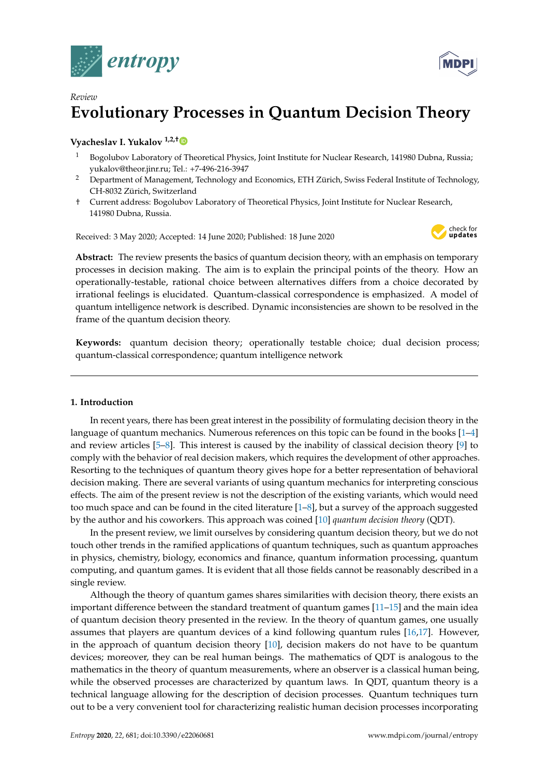



# *Review* **Evolutionary Processes in Quantum Decision Theory**

# **Vyacheslav I. Yukalov 1,2,[†](https://orcid.org/0000-0003-4833-0175)**

- <sup>1</sup> Bogolubov Laboratory of Theoretical Physics, Joint Institute for Nuclear Research, 141980 Dubna, Russia; yukalov@theor.jinr.ru; Tel.: +7-496-216-3947
- <sup>2</sup> Department of Management, Technology and Economics, ETH Zürich, Swiss Federal Institute of Technology, CH-8032 Zürich, Switzerland
- † Current address: Bogolubov Laboratory of Theoretical Physics, Joint Institute for Nuclear Research, 141980 Dubna, Russia.

Received: 3 May 2020; Accepted: 14 June 2020; Published: 18 June 2020



**Abstract:** The review presents the basics of quantum decision theory, with an emphasis on temporary processes in decision making. The aim is to explain the principal points of the theory. How an operationally-testable, rational choice between alternatives differs from a choice decorated by irrational feelings is elucidated. Quantum-classical correspondence is emphasized. A model of quantum intelligence network is described. Dynamic inconsistencies are shown to be resolved in the frame of the quantum decision theory.

**Keywords:** quantum decision theory; operationally testable choice; dual decision process; quantum-classical correspondence; quantum intelligence network

# **1. Introduction**

In recent years, there has been great interest in the possibility of formulating decision theory in the language of quantum mechanics. Numerous references on this topic can be found in the books [\[1](#page-28-0)[–4\]](#page-28-1) and review articles [\[5](#page-28-2)[–8\]](#page-28-3). This interest is caused by the inability of classical decision theory [\[9\]](#page-28-4) to comply with the behavior of real decision makers, which requires the development of other approaches. Resorting to the techniques of quantum theory gives hope for a better representation of behavioral decision making. There are several variants of using quantum mechanics for interpreting conscious effects. The aim of the present review is not the description of the existing variants, which would need too much space and can be found in the cited literature [\[1](#page-28-0)[–8\]](#page-28-3), but a survey of the approach suggested by the author and his coworkers. This approach was coined [\[10\]](#page-28-5) *quantum decision theory* (QDT).

In the present review, we limit ourselves by considering quantum decision theory, but we do not touch other trends in the ramified applications of quantum techniques, such as quantum approaches in physics, chemistry, biology, economics and finance, quantum information processing, quantum computing, and quantum games. It is evident that all those fields cannot be reasonably described in a single review.

Although the theory of quantum games shares similarities with decision theory, there exists an important difference between the standard treatment of quantum games [\[11–](#page-28-6)[15\]](#page-28-7) and the main idea of quantum decision theory presented in the review. In the theory of quantum games, one usually assumes that players are quantum devices of a kind following quantum rules [\[16](#page-28-8)[,17\]](#page-28-9). However, in the approach of quantum decision theory [\[10\]](#page-28-5), decision makers do not have to be quantum devices; moreover, they can be real human beings. The mathematics of QDT is analogous to the mathematics in the theory of quantum measurements, where an observer is a classical human being, while the observed processes are characterized by quantum laws. In QDT, quantum theory is a technical language allowing for the description of decision processes. Quantum techniques turn out to be a very convenient tool for characterizing realistic human decision processes incorporating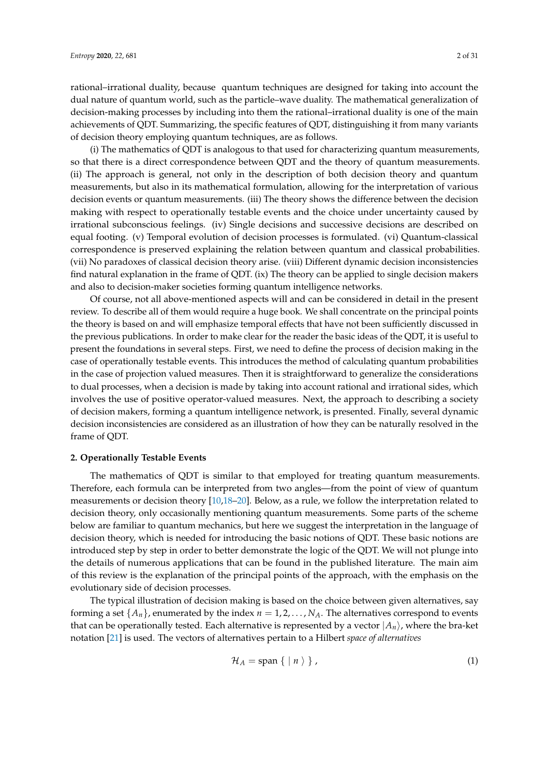rational–irrational duality, because quantum techniques are designed for taking into account the dual nature of quantum world, such as the particle–wave duality. The mathematical generalization of decision-making processes by including into them the rational–irrational duality is one of the main achievements of QDT. Summarizing, the specific features of QDT, distinguishing it from many variants of decision theory employing quantum techniques, are as follows.

(i) The mathematics of QDT is analogous to that used for characterizing quantum measurements, so that there is a direct correspondence between QDT and the theory of quantum measurements. (ii) The approach is general, not only in the description of both decision theory and quantum measurements, but also in its mathematical formulation, allowing for the interpretation of various decision events or quantum measurements. (iii) The theory shows the difference between the decision making with respect to operationally testable events and the choice under uncertainty caused by irrational subconscious feelings. (iv) Single decisions and successive decisions are described on equal footing. (v) Temporal evolution of decision processes is formulated. (vi) Quantum-classical correspondence is preserved explaining the relation between quantum and classical probabilities. (vii) No paradoxes of classical decision theory arise. (viii) Different dynamic decision inconsistencies find natural explanation in the frame of QDT. (ix) The theory can be applied to single decision makers and also to decision-maker societies forming quantum intelligence networks.

Of course, not all above-mentioned aspects will and can be considered in detail in the present review. To describe all of them would require a huge book. We shall concentrate on the principal points the theory is based on and will emphasize temporal effects that have not been sufficiently discussed in the previous publications. In order to make clear for the reader the basic ideas of the QDT, it is useful to present the foundations in several steps. First, we need to define the process of decision making in the case of operationally testable events. This introduces the method of calculating quantum probabilities in the case of projection valued measures. Then it is straightforward to generalize the considerations to dual processes, when a decision is made by taking into account rational and irrational sides, which involves the use of positive operator-valued measures. Next, the approach to describing a society of decision makers, forming a quantum intelligence network, is presented. Finally, several dynamic decision inconsistencies are considered as an illustration of how they can be naturally resolved in the frame of QDT.

#### **2. Operationally Testable Events**

The mathematics of QDT is similar to that employed for treating quantum measurements. Therefore, each formula can be interpreted from two angles—from the point of view of quantum measurements or decision theory [\[10,](#page-28-5)[18](#page-28-10)[–20\]](#page-28-11). Below, as a rule, we follow the interpretation related to decision theory, only occasionally mentioning quantum measurements. Some parts of the scheme below are familiar to quantum mechanics, but here we suggest the interpretation in the language of decision theory, which is needed for introducing the basic notions of QDT. These basic notions are introduced step by step in order to better demonstrate the logic of the QDT. We will not plunge into the details of numerous applications that can be found in the published literature. The main aim of this review is the explanation of the principal points of the approach, with the emphasis on the evolutionary side of decision processes.

The typical illustration of decision making is based on the choice between given alternatives, say forming a set  $\{A_n\}$ , enumerated by the index  $n = 1, 2, \ldots, N_A$ . The alternatives correspond to events that can be operationally tested. Each alternative is represented by a vector  $|A_n\rangle$ , where the bra-ket notation [\[21\]](#page-28-12) is used. The vectors of alternatives pertain to a Hilbert *space of alternatives*

$$
\mathcal{H}_A = \text{span}\{ \mid n \rangle \}, \tag{1}
$$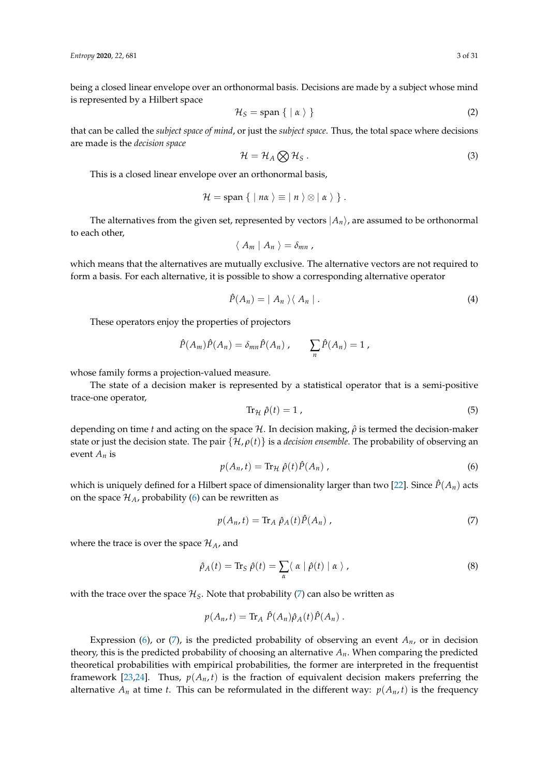being a closed linear envelope over an orthonormal basis. Decisions are made by a subject whose mind is represented by a Hilbert space

$$
\mathcal{H}_S = \text{span}\{ \mid \alpha \rangle \} \tag{2}
$$

that can be called the *subject space of mind*, or just the *subject space*. Thus, the total space where decisions are made is the *decision space*

$$
\mathcal{H} = \mathcal{H}_A \bigotimes \mathcal{H}_S \,. \tag{3}
$$

This is a closed linear envelope over an orthonormal basis,

$$
\mathcal{H} = \text{span} \{ \mid n\alpha \rangle \equiv |n \rangle \otimes | \alpha \rangle \}.
$$

The alternatives from the given set, represented by vectors  $|A_n\rangle$ , are assumed to be orthonormal to each other,

$$
\langle A_m | A_n \rangle = \delta_{mn},
$$

which means that the alternatives are mutually exclusive. The alternative vectors are not required to form a basis. For each alternative, it is possible to show a corresponding alternative operator

$$
\hat{P}(A_n) = | A_n \rangle \langle A_n |.
$$
\n(4)

These operators enjoy the properties of projectors

$$
\hat{P}(A_m)\hat{P}(A_n) = \delta_{mn}\hat{P}(A_n) , \qquad \sum_n \hat{P}(A_n) = 1 ,
$$

whose family forms a projection-valued measure.

The state of a decision maker is represented by a statistical operator that is a semi-positive trace-one operator,

$$
\operatorname{Tr}_{\mathcal{H}}\hat{\rho}(t)=1\tag{5}
$$

depending on time *t* and acting on the space H. In decision making, *ρ*ˆ is termed the decision-maker state or just the decision state. The pair {H, *ρ*(*t*)} is a *decision ensemble*. The probability of observing an event *A<sup>n</sup>* is

<span id="page-3-0"></span>
$$
p(A_n, t) = \text{Tr}_{\mathcal{H}} \hat{\rho}(t) \hat{P}(A_n) , \qquad (6)
$$

which is uniquely defined for a Hilbert space of dimensionality larger than two [\[22\]](#page-28-13). Since  $\hat{P}(A_n)$  acts on the space  $\mathcal{H}_A$ , probability [\(6\)](#page-3-0) can be rewritten as

<span id="page-3-1"></span>
$$
p(A_n, t) = \text{Tr}_A \hat{\rho}_A(t) \hat{P}(A_n) \tag{7}
$$

where the trace is over the space  $\mathcal{H}_A$ , and

$$
\hat{\rho}_A(t) = \text{Tr}_S \ \hat{\rho}(t) = \sum_{\alpha} \langle \ \alpha \mid \hat{\rho}(t) \mid \alpha \ \rangle \ , \tag{8}
$$

with the trace over the space  $\mathcal{H}_S$ . Note that probability [\(7\)](#page-3-1) can also be written as

$$
p(A_n,t)=\text{Tr}_A \hat{P}(A_n)\hat{\rho}_A(t)\hat{P}(A_n).
$$

Expression [\(6\)](#page-3-0), or [\(7\)](#page-3-1), is the predicted probability of observing an event  $A_n$ , or in decision theory, this is the predicted probability of choosing an alternative  $A_n$ . When comparing the predicted theoretical probabilities with empirical probabilities, the former are interpreted in the frequentist framework [\[23](#page-28-14)[,24\]](#page-28-15). Thus,  $p(A_n, t)$  is the fraction of equivalent decision makers preferring the alternative  $A_n$  at time *t*. This can be reformulated in the different way:  $p(A_n, t)$  is the frequency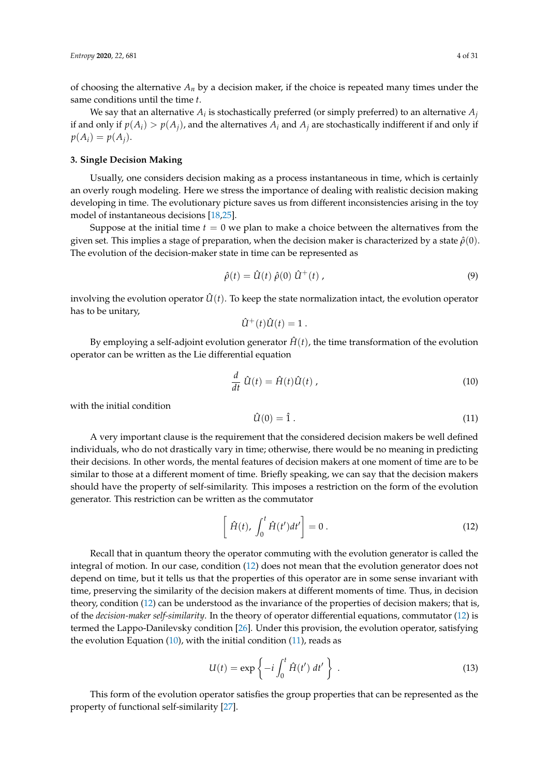of choosing the alternative  $A_n$  by a decision maker, if the choice is repeated many times under the same conditions until the time *t*.

We say that an alternative  $A_i$  is stochastically preferred (or simply preferred) to an alternative  $A_j$ if and only if  $p(A_i) > p(A_i)$ , and the alternatives  $A_i$  and  $A_j$  are stochastically indifferent if and only if  $p(A_i) = p(A_i)$ .

## <span id="page-4-4"></span>**3. Single Decision Making**

Usually, one considers decision making as a process instantaneous in time, which is certainly an overly rough modeling. Here we stress the importance of dealing with realistic decision making developing in time. The evolutionary picture saves us from different inconsistencies arising in the toy model of instantaneous decisions [\[18,](#page-28-10)[25\]](#page-28-16).

Suppose at the initial time  $t = 0$  we plan to make a choice between the alternatives from the given set. This implies a stage of preparation, when the decision maker is characterized by a state  $\hat{\rho}(0)$ . The evolution of the decision-maker state in time can be represented as

<span id="page-4-3"></span>
$$
\hat{\rho}(t) = \hat{U}(t) \hat{\rho}(0) \hat{U}^{+}(t) , \qquad (9)
$$

involving the evolution operator  $\hat{U}(t)$ . To keep the state normalization intact, the evolution operator has to be unitary,

$$
\hat{U}^+(t)\hat{U}(t)=1.
$$

By employing a self-adjoint evolution generator  $\hat{H}(t)$ , the time transformation of the evolution operator can be written as the Lie differential equation

<span id="page-4-1"></span>
$$
\frac{d}{dt}\,\hat{U}(t) = \hat{H}(t)\hat{U}(t) \,,\tag{10}
$$

with the initial condition

<span id="page-4-2"></span>
$$
\hat{U}(0) = \hat{1} \tag{11}
$$

A very important clause is the requirement that the considered decision makers be well defined individuals, who do not drastically vary in time; otherwise, there would be no meaning in predicting their decisions. In other words, the mental features of decision makers at one moment of time are to be similar to those at a different moment of time. Briefly speaking, we can say that the decision makers should have the property of self-similarity. This imposes a restriction on the form of the evolution generator. This restriction can be written as the commutator

<span id="page-4-0"></span>
$$
\left[\hat{H}(t), \int_0^t \hat{H}(t')dt'\right] = 0.
$$
\n(12)

Recall that in quantum theory the operator commuting with the evolution generator is called the integral of motion. In our case, condition [\(12\)](#page-4-0) does not mean that the evolution generator does not depend on time, but it tells us that the properties of this operator are in some sense invariant with time, preserving the similarity of the decision makers at different moments of time. Thus, in decision theory, condition [\(12\)](#page-4-0) can be understood as the invariance of the properties of decision makers; that is, of the *decision-maker self-similarity*. In the theory of operator differential equations, commutator [\(12\)](#page-4-0) is termed the Lappo-Danilevsky condition [\[26\]](#page-28-17). Under this provision, the evolution operator, satisfying the evolution Equation  $(10)$ , with the initial condition  $(11)$ , reads as

$$
U(t) = \exp\left\{-i \int_0^t \hat{H}(t') dt'\right\}.
$$
 (13)

This form of the evolution operator satisfies the group properties that can be represented as the property of functional self-similarity [\[27\]](#page-28-18).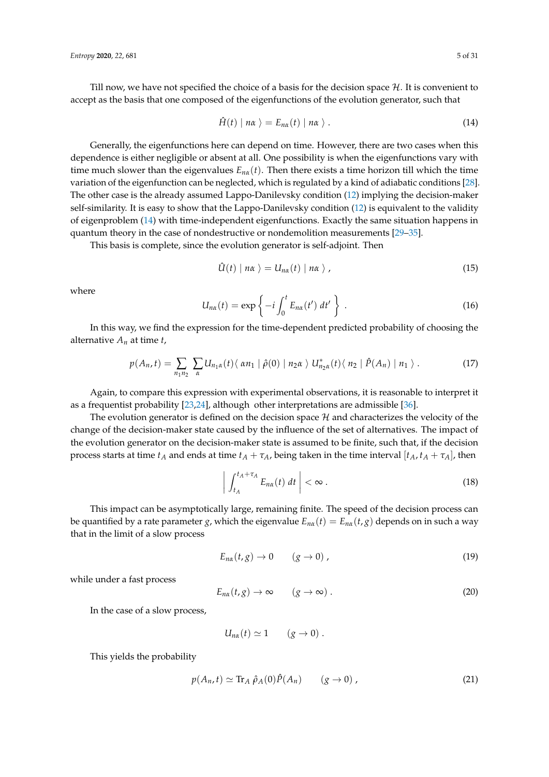Till now, we have not specified the choice of a basis for the decision space  $H$ . It is convenient to accept as the basis that one composed of the eigenfunctions of the evolution generator, such that

<span id="page-5-0"></span>
$$
\hat{H}(t) \mid n\alpha \rangle = E_{n\alpha}(t) \mid n\alpha \rangle. \tag{14}
$$

Generally, the eigenfunctions here can depend on time. However, there are two cases when this dependence is either negligible or absent at all. One possibility is when the eigenfunctions vary with time much slower than the eigenvalues  $E_{n\alpha}(t)$ . Then there exists a time horizon till which the time variation of the eigenfunction can be neglected, which is regulated by a kind of adiabatic conditions [\[28\]](#page-28-19). The other case is the already assumed Lappo-Danilevsky condition [\(12\)](#page-4-0) implying the decision-maker self-similarity. It is easy to show that the Lappo-Danilevsky condition [\(12\)](#page-4-0) is equivalent to the validity of eigenproblem [\(14\)](#page-5-0) with time-independent eigenfunctions. Exactly the same situation happens in quantum theory in the case of nondestructive or nondemolition measurements [\[29](#page-28-20)[–35\]](#page-29-0).

This basis is complete, since the evolution generator is self-adjoint. Then

$$
\hat{U}(t) | n\alpha \rangle = U_{n\alpha}(t) | n\alpha \rangle, \qquad (15)
$$

where

$$
U_{n\alpha}(t) = \exp\left\{-i \int_0^t E_{n\alpha}(t') dt'\right\}.
$$
 (16)

In this way, we find the expression for the time-dependent predicted probability of choosing the alternative *A<sup>n</sup>* at time *t*,

<span id="page-5-1"></span>
$$
p(A_n,t)=\sum_{n_1n_2}\sum_{\alpha}U_{n_1\alpha}(t)\langle\ \alpha n_1\mid\hat{\rho}(0)\mid n_2\alpha\ \rangle\ U_{n_2\alpha}^*(t)\langle\ n_2\mid\hat{P}(A_n)\mid n_1\ \rangle\ .
$$
 (17)

Again, to compare this expression with experimental observations, it is reasonable to interpret it as a frequentist probability [\[23,](#page-28-14)[24\]](#page-28-15), although other interpretations are admissible [\[36\]](#page-29-1).

The evolution generator is defined on the decision space  $H$  and characterizes the velocity of the change of the decision-maker state caused by the influence of the set of alternatives. The impact of the evolution generator on the decision-maker state is assumed to be finite, such that, if the decision process starts at time  $t_A$  and ends at time  $t_A + \tau_A$ , being taken in the time interval  $[t_A, t_A + \tau_A]$ , then

$$
\left| \int_{t_A}^{t_A + \tau_A} E_{n\alpha}(t) \, dt \right| < \infty \, . \tag{18}
$$

This impact can be asymptotically large, remaining finite. The speed of the decision process can be quantified by a rate parameter *g*, which the eigenvalue  $E_{n\alpha}(t) = E_{n\alpha}(t, g)$  depends on in such a way that in the limit of a slow process

$$
E_{n\alpha}(t,g) \to 0 \qquad (g \to 0) \tag{19}
$$

while under a fast process

$$
E_{n\alpha}(t,g) \to \infty \qquad (g \to \infty) \ . \tag{20}
$$

In the case of a slow process,

$$
U_{n\alpha}(t) \simeq 1 \qquad (g \to 0) \ .
$$

This yields the probability

$$
p(A_n, t) \simeq \text{Tr}_A \hat{\rho}_A(0) \hat{P}(A_n) \qquad (g \to 0), \qquad (21)
$$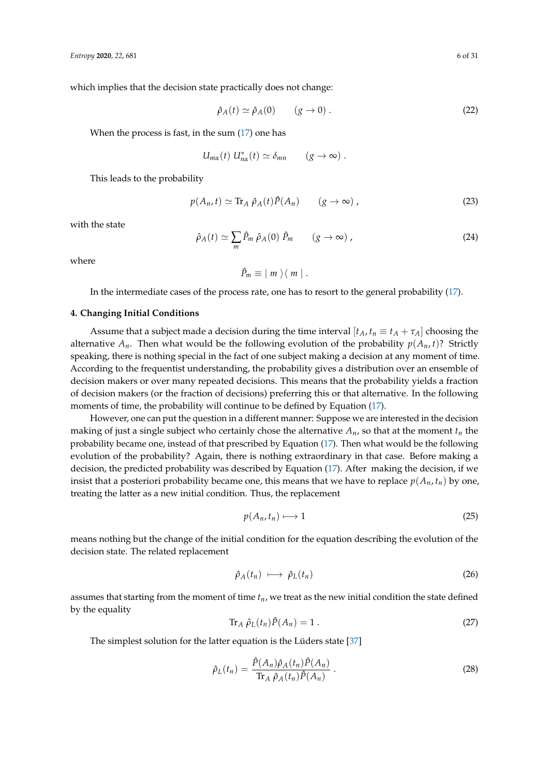which implies that the decision state practically does not change:

$$
\hat{\rho}_A(t) \simeq \hat{\rho}_A(0) \qquad (g \to 0). \tag{22}
$$

When the process is fast, in the sum  $(17)$  one has

$$
U_{m\alpha}(t) U_{n\alpha}^*(t) \simeq \delta_{mn} \qquad (g \to \infty) .
$$

This leads to the probability

$$
p(A_n, t) \simeq \text{Tr}_A \hat{\rho}_A(t) \hat{P}(A_n) \qquad (g \to \infty) ,
$$
 (23)

with the state

$$
\hat{\rho}_A(t) \simeq \sum_m \hat{P}_m \,\hat{\rho}_A(0) \,\hat{P}_m \qquad (g \to \infty) \,, \tag{24}
$$

where

$$
\hat{P}_m \equiv |m\rangle\langle m|.
$$

In the intermediate cases of the process rate, one has to resort to the general probability [\(17\)](#page-5-1).

## **4. Changing Initial Conditions**

Assume that a subject made a decision during the time interval  $[t_A, t_n \equiv t_A + \tau_A]$  choosing the alternative  $A_n$ . Then what would be the following evolution of the probability  $p(A_n, t)$ ? Strictly speaking, there is nothing special in the fact of one subject making a decision at any moment of time. According to the frequentist understanding, the probability gives a distribution over an ensemble of decision makers or over many repeated decisions. This means that the probability yields a fraction of decision makers (or the fraction of decisions) preferring this or that alternative. In the following moments of time, the probability will continue to be defined by Equation [\(17\)](#page-5-1).

However, one can put the question in a different manner: Suppose we are interested in the decision making of just a single subject who certainly chose the alternative  $A_n$ , so that at the moment  $t_n$  the probability became one, instead of that prescribed by Equation [\(17\)](#page-5-1). Then what would be the following evolution of the probability? Again, there is nothing extraordinary in that case. Before making a decision, the predicted probability was described by Equation [\(17\)](#page-5-1). After making the decision, if we insist that a posteriori probability became one, this means that we have to replace  $p(A_n, t_n)$  by one, treating the latter as a new initial condition. Thus, the replacement

$$
p(A_n, t_n) \longmapsto 1 \tag{25}
$$

means nothing but the change of the initial condition for the equation describing the evolution of the decision state. The related replacement

<span id="page-6-0"></span>
$$
\hat{\rho}_A(t_n) \longmapsto \hat{\rho}_L(t_n) \tag{26}
$$

assumes that starting from the moment of time *tn*, we treat as the new initial condition the state defined by the equality

$$
\operatorname{Tr}_A \hat{\rho}_L(t_n) \hat{P}(A_n) = 1 \,. \tag{27}
$$

The simplest solution for the latter equation is the Lüders state [\[37\]](#page-29-2)

$$
\hat{\rho}_L(t_n) = \frac{\hat{P}(A_n)\hat{\rho}_A(t_n)\hat{P}(A_n)}{\text{Tr}_A \hat{\rho}_A(t_n)\hat{P}(A_n)}\,. \tag{28}
$$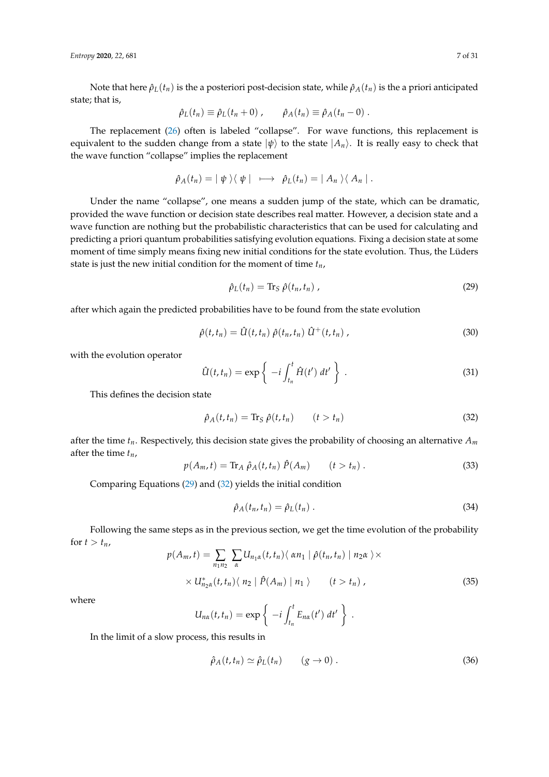*Entropy* **2020**, *22*, 681 7 of 31

Note that here  $\hat{\rho}_L(t_n)$  is the a posteriori post-decision state, while  $\hat{\rho}_A(t_n)$  is the a priori anticipated state; that is,

$$
\hat{\rho}_L(t_n) \equiv \hat{\rho}_L(t_n + 0) \; , \qquad \hat{\rho}_A(t_n) \equiv \hat{\rho}_A(t_n - 0) \; .
$$

The replacement [\(26\)](#page-6-0) often is labeled "collapse". For wave functions, this replacement is equivalent to the sudden change from a state  $|\psi\rangle$  to the state  $|A_n\rangle$ . It is really easy to check that the wave function "collapse" implies the replacement

$$
\hat{\rho}_A(t_n) = |\psi\rangle\langle\psi| \longrightarrow \hat{\rho}_L(t_n) = |A_n\rangle\langle A_n|.
$$

Under the name "collapse", one means a sudden jump of the state, which can be dramatic, provided the wave function or decision state describes real matter. However, a decision state and a wave function are nothing but the probabilistic characteristics that can be used for calculating and predicting a priori quantum probabilities satisfying evolution equations. Fixing a decision state at some moment of time simply means fixing new initial conditions for the state evolution. Thus, the Lüders state is just the new initial condition for the moment of time *tn*,

<span id="page-7-0"></span>
$$
\hat{\rho}_L(t_n) = \text{Tr}_S \ \hat{\rho}(t_n, t_n) \tag{29}
$$

after which again the predicted probabilities have to be found from the state evolution

$$
\hat{\rho}(t,t_n) = \hat{U}(t,t_n) \hat{\rho}(t_n,t_n) \hat{U}^+(t,t_n) , \qquad (30)
$$

with the evolution operator

$$
\hat{U}(t,t_n) = \exp\left\{-i \int_{t_n}^t \hat{H}(t') dt'\right\}.
$$
\n(31)

This defines the decision state

<span id="page-7-1"></span>
$$
\hat{\rho}_A(t, t_n) = \text{Tr}_S \hat{\rho}(t, t_n) \qquad (t > t_n)
$$
\n(32)

after the time *tn*. Respectively, this decision state gives the probability of choosing an alternative *A<sup>m</sup>* after the time *tn*,

$$
p(A_m, t) = \text{Tr}_A \hat{\rho}_A(t, t_n) \hat{P}(A_m) \qquad (t > t_n). \tag{33}
$$

Comparing Equations [\(29\)](#page-7-0) and [\(32\)](#page-7-1) yields the initial condition

$$
\hat{\rho}_A(t_n, t_n) = \hat{\rho}_L(t_n) \,. \tag{34}
$$

Following the same steps as in the previous section, we get the time evolution of the probability for  $t > t_n$ ,

$$
p(A_m, t) = \sum_{n_1 n_2} \sum_{\alpha} U_{n_1 \alpha}(t, t_n) \langle \alpha n_1 | \hat{\rho}(t_n, t_n) | n_2 \alpha \rangle \times
$$
  
 
$$
\times U_{n_2 \alpha}^*(t, t_n) \langle n_2 | \hat{P}(A_m) | n_1 \rangle \qquad (t > t_n),
$$
 (35)

where

$$
U_{n\alpha}(t,t_n)=\exp\left\{-i\int_{t_n}^tE_{n\alpha}(t')\ dt'\right\}\ .
$$

In the limit of a slow process, this results in

$$
\hat{\rho}_A(t, t_n) \simeq \hat{\rho}_L(t_n) \qquad (g \to 0) \,. \tag{36}
$$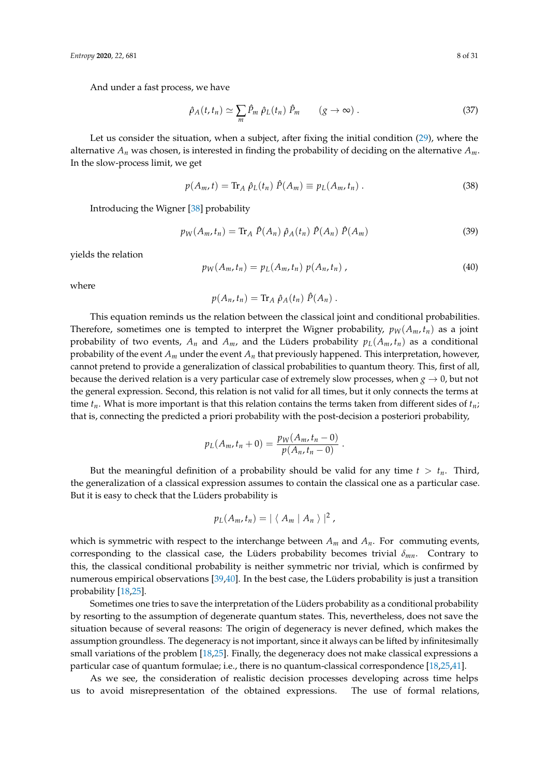And under a fast process, we have

$$
\hat{\rho}_A(t, t_n) \simeq \sum_m \hat{P}_m \hat{\rho}_L(t_n) \hat{P}_m \qquad (g \to \infty) \ . \tag{37}
$$

Let us consider the situation, when a subject, after fixing the initial condition [\(29\)](#page-7-0), where the alternative  $A_n$  was chosen, is interested in finding the probability of deciding on the alternative  $A_m$ . In the slow-process limit, we get

$$
p(A_m, t) = \text{Tr}_A \hat{\rho}_L(t_n) \hat{P}(A_m) \equiv p_L(A_m, t_n) \,. \tag{38}
$$

Introducing the Wigner [\[38\]](#page-29-3) probability

$$
p_W(A_m, t_n) = \text{Tr}_A \hat{P}(A_n) \hat{\rho}_A(t_n) \hat{P}(A_n) \hat{P}(A_m)
$$
\n(39)

yields the relation

$$
p_W(A_m, t_n) = p_L(A_m, t_n) p(A_n, t_n) \tag{40}
$$

where

$$
p(A_n,t_n)=\mathrm{Tr}_A\hat{\rho}_A(t_n)\hat{P}(A_n).
$$

This equation reminds us the relation between the classical joint and conditional probabilities. Therefore, sometimes one is tempted to interpret the Wigner probability,  $p_W(A_m, t_n)$  as a joint probability of two events,  $A_n$  and  $A_m$ , and the Lüders probability  $p_L(A_m, t_n)$  as a conditional probability of the event  $A_m$  under the event  $A_n$  that previously happened. This interpretation, however, cannot pretend to provide a generalization of classical probabilities to quantum theory. This, first of all, because the derived relation is a very particular case of extremely slow processes, when  $g \to 0$ , but not the general expression. Second, this relation is not valid for all times, but it only connects the terms at time *tn*. What is more important is that this relation contains the terms taken from different sides of *tn*; that is, connecting the predicted a priori probability with the post-decision a posteriori probability,

$$
p_L(A_m, t_n + 0) = \frac{p_W(A_m, t_n - 0)}{p(A_n, t_n - 0)}.
$$

But the meaningful definition of a probability should be valid for any time  $t > t_n$ . Third, the generalization of a classical expression assumes to contain the classical one as a particular case. But it is easy to check that the Lüders probability is

$$
p_L(A_m,t_n)=|\langle A_m | A_n \rangle|^2,
$$

which is symmetric with respect to the interchange between  $A_m$  and  $A_n$ . For commuting events, corresponding to the classical case, the Lüders probability becomes trivial *δmn*. Contrary to this, the classical conditional probability is neither symmetric nor trivial, which is confirmed by numerous empirical observations [\[39,](#page-29-4)[40\]](#page-29-5). In the best case, the Lüders probability is just a transition probability [\[18,](#page-28-10)[25\]](#page-28-16).

Sometimes one tries to save the interpretation of the Lüders probability as a conditional probability by resorting to the assumption of degenerate quantum states. This, nevertheless, does not save the situation because of several reasons: The origin of degeneracy is never defined, which makes the assumption groundless. The degeneracy is not important, since it always can be lifted by infinitesimally small variations of the problem [\[18](#page-28-10)[,25\]](#page-28-16). Finally, the degeneracy does not make classical expressions a particular case of quantum formulae; i.e., there is no quantum-classical correspondence [\[18,](#page-28-10)[25,](#page-28-16)[41\]](#page-29-6).

As we see, the consideration of realistic decision processes developing across time helps us to avoid misrepresentation of the obtained expressions. The use of formal relations,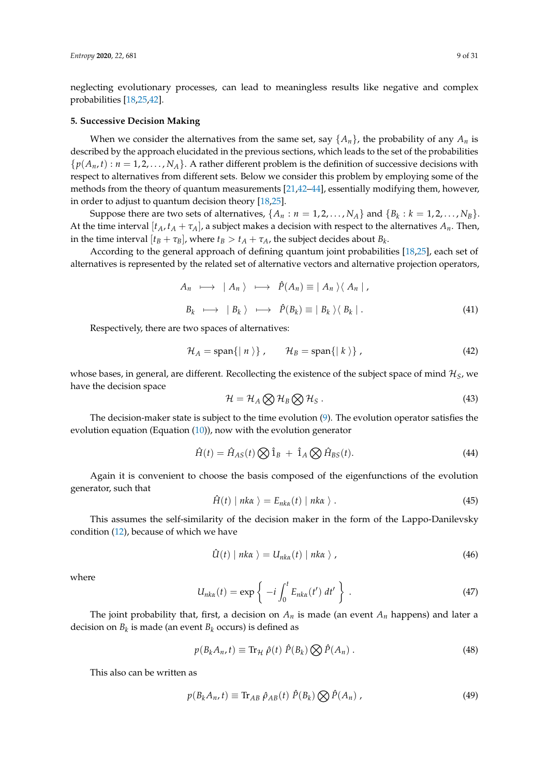neglecting evolutionary processes, can lead to meaningless results like negative and complex probabilities [\[18,](#page-28-10)[25](#page-28-16)[,42\]](#page-29-7).

#### <span id="page-9-3"></span>**5. Successive Decision Making**

When we consider the alternatives from the same set, say  $\{A_n\}$ , the probability of any  $A_n$  is described by the approach elucidated in the previous sections, which leads to the set of the probabilities  $\{p(A_n,t): n = 1,2,\ldots,N_A\}$ . A rather different problem is the definition of successive decisions with respect to alternatives from different sets. Below we consider this problem by employing some of the methods from the theory of quantum measurements [\[21,](#page-28-12)[42–](#page-29-7)[44\]](#page-29-8), essentially modifying them, however, in order to adjust to quantum decision theory [\[18](#page-28-10)[,25\]](#page-28-16).

Suppose there are two sets of alternatives,  $\{A_n : n = 1, 2, ..., N_A\}$  and  $\{B_k : k = 1, 2, ..., N_B\}$ . At the time interval  $[t_A, t_A + \tau_A]$ , a subject makes a decision with respect to the alternatives  $A_n$ . Then, in the time interval  $[t_B + \tau_B]$ , where  $t_B > t_A + \tau_A$ , the subject decides about  $B_k$ .

According to the general approach of defining quantum joint probabilities [\[18,](#page-28-10)[25\]](#page-28-16), each set of alternatives is represented by the related set of alternative vectors and alternative projection operators,

$$
A_n \longmapsto |A_n\rangle \longmapsto \hat{P}(A_n) \equiv |A_n\rangle \langle A_n |,
$$
  

$$
B_k \longmapsto |B_k\rangle \longmapsto \hat{P}(B_k) \equiv |B_k\rangle \langle B_k |.
$$
 (41)

Respectively, there are two spaces of alternatives:

$$
\mathcal{H}_A = \text{span}\{|n\rangle\}, \qquad \mathcal{H}_B = \text{span}\{|k\rangle\}, \qquad (42)
$$

whose bases, in general, are different. Recollecting the existence of the subject space of mind  $\mathcal{H}_S$ , we have the decision space

$$
\mathcal{H} = \mathcal{H}_A \bigotimes \mathcal{H}_B \bigotimes \mathcal{H}_S \,. \tag{43}
$$

The decision-maker state is subject to the time evolution [\(9\)](#page-4-3). The evolution operator satisfies the evolution equation (Equation [\(10\)](#page-4-1)), now with the evolution generator

<span id="page-9-1"></span>
$$
\hat{H}(t) = \hat{H}_{AS}(t) \bigotimes \hat{1}_B + \hat{1}_A \bigotimes \hat{H}_{BS}(t). \tag{44}
$$

Again it is convenient to choose the basis composed of the eigenfunctions of the evolution generator, such that

$$
\hat{H}(t) | n k \alpha \rangle = E_{n k \alpha}(t) | n k \alpha \rangle. \tag{45}
$$

This assumes the self-similarity of the decision maker in the form of the Lappo-Danilevsky condition [\(12\)](#page-4-0), because of which we have

$$
\hat{U}(t) | n k \alpha \rangle = U_{n k \alpha}(t) | n k \alpha \rangle, \qquad (46)
$$

where

$$
U_{nk\alpha}(t) = \exp\left\{-i \int_0^t E_{nk\alpha}(t') dt'\right\}.
$$
 (47)

The joint probability that, first, a decision on  $A_n$  is made (an event  $A_n$  happens) and later a decision on *B<sup>k</sup>* is made (an event *B<sup>k</sup>* occurs) is defined as

<span id="page-9-0"></span>
$$
p(B_k A_n, t) \equiv \text{Tr}_{\mathcal{H}} \hat{\rho}(t) \hat{P}(B_k) \bigotimes \hat{P}(A_n) . \tag{48}
$$

This also can be written as

<span id="page-9-2"></span>
$$
p(B_k A_n, t) \equiv \text{Tr}_{AB} \hat{\rho}_{AB}(t) \hat{P}(B_k) \bigotimes \hat{P}(A_n) , \qquad (49)
$$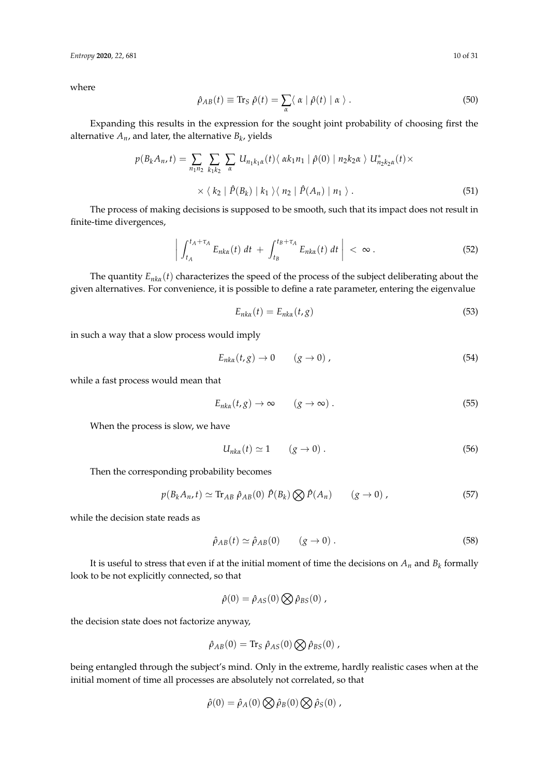*Entropy* **2020**, *22*, 681 10 of 31

where

$$
\hat{\rho}_{AB}(t) \equiv \text{Tr}_S \ \hat{\rho}(t) = \sum_{\alpha} \langle \ \alpha \mid \hat{\rho}(t) \mid \alpha \ \rangle \ . \tag{50}
$$

Expanding this results in the expression for the sought joint probability of choosing first the alternative  $A_n$ , and later, the alternative  $B_k$ , yields

$$
p(B_k A_n, t) = \sum_{n_1 n_2} \sum_{k_1 k_2} \sum_{\alpha} U_{n_1 k_1 \alpha}(t) \langle \alpha k_1 n_1 | \hat{\rho}(0) | n_2 k_2 \alpha \rangle U_{n_2 k_2 \alpha}^*(t) \times
$$
  
 
$$
\times \langle k_2 | \hat{P}(B_k) | k_1 \rangle \langle n_2 | \hat{P}(A_n) | n_1 \rangle.
$$
 (51)

The process of making decisions is supposed to be smooth, such that its impact does not result in finite-time divergences,

$$
\left| \int_{t_A}^{t_A+\tau_A} E_{nk\alpha}(t) dt + \int_{t_B}^{t_B+\tau_A} E_{nk\alpha}(t) dt \right| < \infty.
$$
 (52)

The quantity *Enk<sup>α</sup>* (*t*) characterizes the speed of the process of the subject deliberating about the given alternatives. For convenience, it is possible to define a rate parameter, entering the eigenvalue

$$
E_{nk\alpha}(t) = E_{nk\alpha}(t,g) \tag{53}
$$

in such a way that a slow process would imply

$$
E_{nk\alpha}(t,g) \to 0 \qquad (g \to 0) , \qquad (54)
$$

while a fast process would mean that

$$
E_{nk\alpha}(t,g) \to \infty \qquad (g \to \infty) \ . \tag{55}
$$

When the process is slow, we have

$$
U_{nk\alpha}(t) \simeq 1 \qquad (g \to 0) \ . \tag{56}
$$

Then the corresponding probability becomes

$$
p(B_k A_n, t) \simeq \text{Tr}_{AB} \hat{\rho}_{AB}(0) \hat{P}(B_k) \bigotimes \hat{P}(A_n) \qquad (g \to 0) ,
$$
 (57)

while the decision state reads as

$$
\hat{\rho}_{AB}(t) \simeq \hat{\rho}_{AB}(0) \qquad (g \to 0) \,. \tag{58}
$$

It is useful to stress that even if at the initial moment of time the decisions on  $A_n$  and  $B_k$  formally look to be not explicitly connected, so that

$$
\hat{\rho}(0) = \hat{\rho}_{AS}(0) \bigotimes \hat{\rho}_{BS}(0) ,
$$

the decision state does not factorize anyway,

$$
\hat{\rho}_{AB}(0) = \text{Tr}_{S} \hat{\rho}_{AS}(0) \bigotimes \hat{\rho}_{BS}(0) ,
$$

being entangled through the subject's mind. Only in the extreme, hardly realistic cases when at the initial moment of time all processes are absolutely not correlated, so that

$$
\hat{\rho}(0) = \hat{\rho}_A(0) \bigotimes \hat{\rho}_B(0) \bigotimes \hat{\rho}_S(0) ,
$$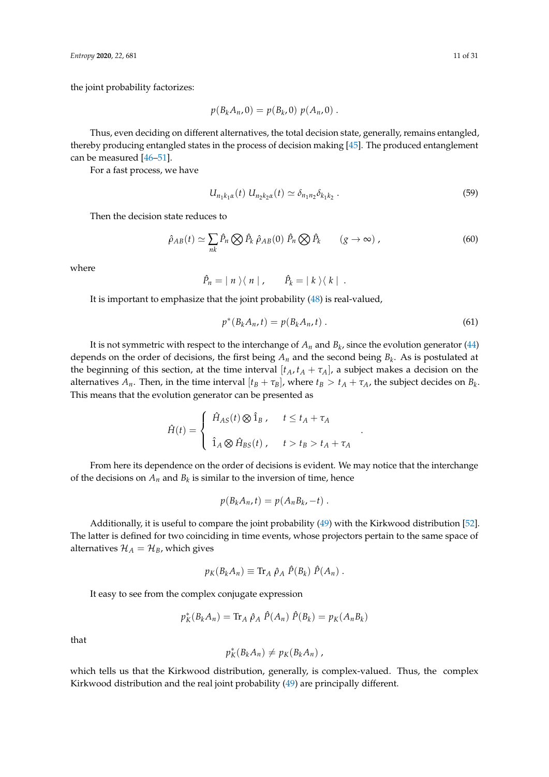the joint probability factorizes:

$$
p(B_kA_n,0)=p(B_k,0)\;p(A_n,0)\;.
$$

Thus, even deciding on different alternatives, the total decision state, generally, remains entangled, thereby producing entangled states in the process of decision making [\[45\]](#page-29-9). The produced entanglement can be measured [\[46](#page-29-10)[–51\]](#page-29-11).

For a fast process, we have

$$
U_{n_1k_1\alpha}(t) U_{n_2k_2\alpha}(t) \simeq \delta_{n_1n_2}\delta_{k_1k_2} . \tag{59}
$$

Then the decision state reduces to

$$
\hat{\rho}_{AB}(t) \simeq \sum_{nk} \hat{P}_n \bigotimes \hat{P}_k \; \hat{\rho}_{AB}(0) \; \hat{P}_n \bigotimes \hat{P}_k \qquad (g \to \infty) \; , \tag{60}
$$

where

$$
\hat{P}_n = | n \rangle \langle n | , \qquad \hat{P}_k = | k \rangle \langle k | .
$$

It is important to emphasize that the joint probability [\(48\)](#page-9-0) is real-valued,

$$
p^*(B_k A_n, t) = p(B_k A_n, t) .
$$
 (61)

.

It is not symmetric with respect to the interchange of  $A_n$  and  $B_k$ , since the evolution generator [\(44\)](#page-9-1) depends on the order of decisions, the first being *A<sup>n</sup>* and the second being *B<sup>k</sup>* . As is postulated at the beginning of this section, at the time interval  $[t_A, t_A + \tau_A]$ , a subject makes a decision on the alternatives  $A_n$ . Then, in the time interval  $[t_B + \tau_B]$ , where  $t_B > t_A + \tau_A$ , the subject decides on  $B_k$ . This means that the evolution generator can be presented as

$$
\hat{H}(t) = \begin{cases}\n\hat{H}_{AS}(t) \otimes \hat{1}_B, & t \le t_A + \tau_A \\
\hat{1}_A \otimes \hat{H}_{BS}(t), & t > t_B > t_A + \tau_A\n\end{cases}
$$

From here its dependence on the order of decisions is evident. We may notice that the interchange of the decisions on  $A_n$  and  $B_k$  is similar to the inversion of time, hence

$$
p(B_kA_n,t)=p(A_nB_k,-t).
$$

Additionally, it is useful to compare the joint probability [\(49\)](#page-9-2) with the Kirkwood distribution [\[52\]](#page-29-12). The latter is defined for two coinciding in time events, whose projectors pertain to the same space of alternatives  $\mathcal{H}_A = \mathcal{H}_B$ , which gives

$$
p_K(B_kA_n) \equiv \text{Tr}_A \hat{\rho}_A \hat{P}(B_k) \hat{P}(A_n).
$$

It easy to see from the complex conjugate expression

$$
p_K^*(B_kA_n) = \text{Tr}_A \hat{\rho}_A \hat{P}(A_n) \hat{P}(B_k) = p_K(A_nB_k)
$$

that

$$
p_K^*(B_kA_n)\neq p_K(B_kA_n)\,
$$

which tells us that the Kirkwood distribution, generally, is complex-valued. Thus, the complex Kirkwood distribution and the real joint probability [\(49\)](#page-9-2) are principally different.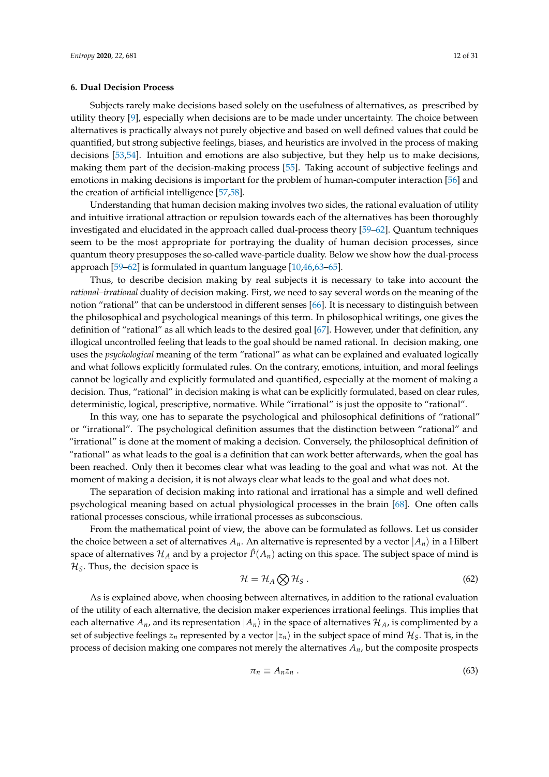#### <span id="page-12-0"></span>**6. Dual Decision Process**

Subjects rarely make decisions based solely on the usefulness of alternatives, as prescribed by utility theory [\[9\]](#page-28-4), especially when decisions are to be made under uncertainty. The choice between alternatives is practically always not purely objective and based on well defined values that could be quantified, but strong subjective feelings, biases, and heuristics are involved in the process of making decisions [\[53](#page-29-13)[,54\]](#page-29-14). Intuition and emotions are also subjective, but they help us to make decisions, making them part of the decision-making process [\[55\]](#page-29-15). Taking account of subjective feelings and emotions in making decisions is important for the problem of human-computer interaction [\[56\]](#page-29-16) and the creation of artificial intelligence [\[57,](#page-29-17)[58\]](#page-29-18).

Understanding that human decision making involves two sides, the rational evaluation of utility and intuitive irrational attraction or repulsion towards each of the alternatives has been thoroughly investigated and elucidated in the approach called dual-process theory [\[59–](#page-29-19)[62\]](#page-29-20). Quantum techniques seem to be the most appropriate for portraying the duality of human decision processes, since quantum theory presupposes the so-called wave-particle duality. Below we show how the dual-process approach [\[59–](#page-29-19)[62\]](#page-29-20) is formulated in quantum language [\[10](#page-28-5)[,46](#page-29-10)[,63](#page-30-0)[–65\]](#page-30-1).

Thus, to describe decision making by real subjects it is necessary to take into account the *rational–irrational* duality of decision making. First, we need to say several words on the meaning of the notion "rational" that can be understood in different senses [\[66\]](#page-30-2). It is necessary to distinguish between the philosophical and psychological meanings of this term. In philosophical writings, one gives the definition of "rational" as all which leads to the desired goal [\[67\]](#page-30-3). However, under that definition, any illogical uncontrolled feeling that leads to the goal should be named rational. In decision making, one uses the *psychological* meaning of the term "rational" as what can be explained and evaluated logically and what follows explicitly formulated rules. On the contrary, emotions, intuition, and moral feelings cannot be logically and explicitly formulated and quantified, especially at the moment of making a decision. Thus, "rational" in decision making is what can be explicitly formulated, based on clear rules, deterministic, logical, prescriptive, normative. While "irrational" is just the opposite to "rational".

In this way, one has to separate the psychological and philosophical definitions of "rational" or "irrational". The psychological definition assumes that the distinction between "rational" and "irrational" is done at the moment of making a decision. Conversely, the philosophical definition of "rational" as what leads to the goal is a definition that can work better afterwards, when the goal has been reached. Only then it becomes clear what was leading to the goal and what was not. At the moment of making a decision, it is not always clear what leads to the goal and what does not.

The separation of decision making into rational and irrational has a simple and well defined psychological meaning based on actual physiological processes in the brain [\[68\]](#page-30-4). One often calls rational processes conscious, while irrational processes as subconscious.

From the mathematical point of view, the above can be formulated as follows. Let us consider the choice between a set of alternatives  $A_n$ . An alternative is represented by a vector  $|A_n\rangle$  in a Hilbert space of alternatives  $\mathcal{H}_A$  and by a projector  $\hat{P}(A_n)$  acting on this space. The subject space of mind is  $\mathcal{H}_\mathcal{S}$ . Thus, the decision space is

$$
\mathcal{H} = \mathcal{H}_A \bigotimes \mathcal{H}_S \,. \tag{62}
$$

As is explained above, when choosing between alternatives, in addition to the rational evaluation of the utility of each alternative, the decision maker experiences irrational feelings. This implies that each alternative  $A_n$ , and its representation  $|A_n\rangle$  in the space of alternatives  $\mathcal{H}_A$ , is complimented by a set of subjective feelings  $z_n$  represented by a vector  $|z_n\rangle$  in the subject space of mind  $\mathcal{H}_S$ . That is, in the process of decision making one compares not merely the alternatives *An*, but the composite prospects

$$
\pi_n \equiv A_n z_n \,. \tag{63}
$$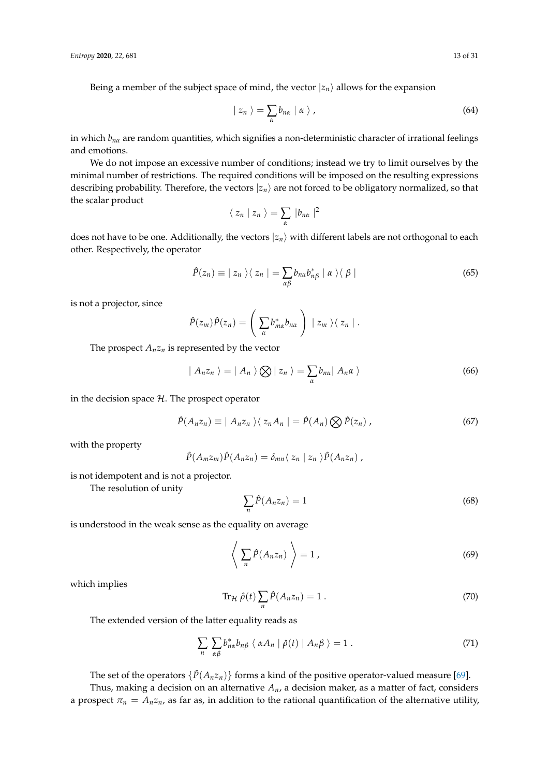Being a member of the subject space of mind, the vector  $|z_n\rangle$  allows for the expansion

$$
|z_n\rangle = \sum_{\alpha} b_{n\alpha} | \alpha \rangle , \qquad (64)
$$

in which *bn<sup>α</sup>* are random quantities, which signifies a non-deterministic character of irrational feelings and emotions.

We do not impose an excessive number of conditions; instead we try to limit ourselves by the minimal number of restrictions. The required conditions will be imposed on the resulting expressions describing probability. Therefore, the vectors  $|z_n\rangle$  are not forced to be obligatory normalized, so that the scalar product

$$
\langle z_n | z_n \rangle = \sum_{\alpha} |b_{n\alpha}|^2
$$

does not have to be one. Additionally, the vectors  $|z_n\rangle$  with different labels are not orthogonal to each other. Respectively, the operator

$$
\hat{P}(z_n) \equiv | z_n \rangle \langle z_n | = \sum_{\alpha \beta} b_{n\alpha} b_{n\beta}^* | \alpha \rangle \langle \beta |
$$
\n(65)

is not a projector, since

$$
\hat{P}(z_m)\hat{P}(z_n)=\left(\sum_{\alpha}b_{m\alpha}^*b_{n\alpha}\right)\mid z_m\rangle\langle z_n\mid.
$$

The prospect  $A_n z_n$  is represented by the vector

$$
| A_n z_n \rangle = | A_n \rangle \bigotimes | z_n \rangle = \sum_{\alpha} b_{n\alpha} | A_n \alpha \rangle
$$
 (66)

in the decision space  $H$ . The prospect operator

$$
\hat{P}(A_n z_n) \equiv | A_n z_n \rangle \langle z_n A_n | = \hat{P}(A_n) \bigotimes \hat{P}(z_n) , \qquad (67)
$$

with the property

$$
\hat{P}(A_m z_m)\hat{P}(A_n z_n) = \delta_{mn}\langle z_n | z_n \rangle \hat{P}(A_n z_n),
$$

is not idempotent and is not a projector.

The resolution of unity

$$
\sum_{n} \hat{P}(A_n z_n) = 1 \tag{68}
$$

is understood in the weak sense as the equality on average

$$
\left\langle \sum_{n} \hat{P}(A_n z_n) \right\rangle = 1 , \qquad (69)
$$

which implies

<span id="page-13-0"></span>
$$
\operatorname{Tr}_{\mathcal{H}}\hat{\rho}(t)\sum_{n}\hat{P}(A_{n}z_{n})=1.
$$
\n(70)

The extended version of the latter equality reads as

<span id="page-13-1"></span>
$$
\sum_{n} \sum_{\alpha\beta} b_{n\alpha}^{*} b_{n\beta} \langle \alpha A_{n} | \hat{\rho}(t) | A_{n\beta} \rangle = 1.
$$
 (71)

The set of the operators  $\{\hat{P}(A_n z_n)\}\$  forms a kind of the positive operator-valued measure [\[69\]](#page-30-5).

Thus, making a decision on an alternative *An*, a decision maker, as a matter of fact, considers a prospect  $\pi_n = A_n z_n$ , as far as, in addition to the rational quantification of the alternative utility,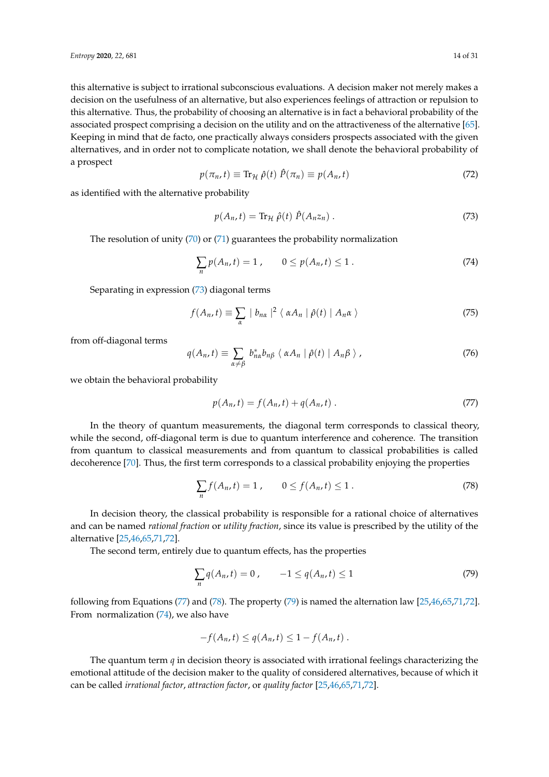this alternative is subject to irrational subconscious evaluations. A decision maker not merely makes a decision on the usefulness of an alternative, but also experiences feelings of attraction or repulsion to this alternative. Thus, the probability of choosing an alternative is in fact a behavioral probability of the associated prospect comprising a decision on the utility and on the attractiveness of the alternative [\[65\]](#page-30-1). Keeping in mind that de facto, one practically always considers prospects associated with the given alternatives, and in order not to complicate notation, we shall denote the behavioral probability of a prospect

<span id="page-14-5"></span>
$$
p(\pi_n, t) \equiv \text{Tr}_{\mathcal{H}} \hat{\rho}(t) \hat{P}(\pi_n) \equiv p(A_n, t) \tag{72}
$$

as identified with the alternative probability

<span id="page-14-0"></span>
$$
p(A_n, t) = \text{Tr}_{\mathcal{H}} \hat{\rho}(t) \hat{P}(A_n z_n) \,. \tag{73}
$$

The resolution of unity  $(70)$  or  $(71)$  guarantees the probability normalization

<span id="page-14-4"></span>
$$
\sum_{n} p(A_n, t) = 1, \qquad 0 \le p(A_n, t) \le 1. \tag{74}
$$

Separating in expression [\(73\)](#page-14-0) diagonal terms

$$
f(A_n, t) \equiv \sum_{\alpha} |b_{n\alpha}|^2 \langle \alpha A_n | \hat{\rho}(t) | A_n \alpha \rangle
$$
 (75)

from off-diagonal terms

$$
q(A_n, t) \equiv \sum_{\alpha \neq \beta} b_{n\alpha}^* b_{n\beta} \langle \alpha A_n | \hat{\rho}(t) | A_n \beta \rangle, \qquad (76)
$$

we obtain the behavioral probability

<span id="page-14-1"></span>
$$
p(A_n, t) = f(A_n, t) + q(A_n, t) .
$$
 (77)

In the theory of quantum measurements, the diagonal term corresponds to classical theory, while the second, off-diagonal term is due to quantum interference and coherence. The transition from quantum to classical measurements and from quantum to classical probabilities is called decoherence [\[70\]](#page-30-6). Thus, the first term corresponds to a classical probability enjoying the properties

<span id="page-14-2"></span>
$$
\sum_{n} f(A_n, t) = 1, \qquad 0 \le f(A_n, t) \le 1.
$$
\n(78)

In decision theory, the classical probability is responsible for a rational choice of alternatives and can be named *rational fraction* or *utility fraction*, since its value is prescribed by the utility of the alternative [\[25](#page-28-16)[,46](#page-29-10)[,65](#page-30-1)[,71](#page-30-7)[,72\]](#page-30-8).

The second term, entirely due to quantum effects, has the properties

<span id="page-14-3"></span>
$$
\sum_{n} q(A_n, t) = 0, \qquad -1 \le q(A_n, t) \le 1 \tag{79}
$$

following from Equations [\(77\)](#page-14-1) and [\(78\)](#page-14-2). The property [\(79\)](#page-14-3) is named the alternation law [\[25,](#page-28-16)[46,](#page-29-10)[65](#page-30-1)[,71](#page-30-7)[,72\]](#page-30-8). From normalization [\(74\)](#page-14-4), we also have

$$
-f(A_n,t)\leq q(A_n,t)\leq 1-f(A_n,t).
$$

The quantum term *q* in decision theory is associated with irrational feelings characterizing the emotional attitude of the decision maker to the quality of considered alternatives, because of which it can be called *irrational factor*, *attraction factor*, or *quality factor* [\[25](#page-28-16)[,46,](#page-29-10)[65,](#page-30-1)[71,](#page-30-7)[72\]](#page-30-8).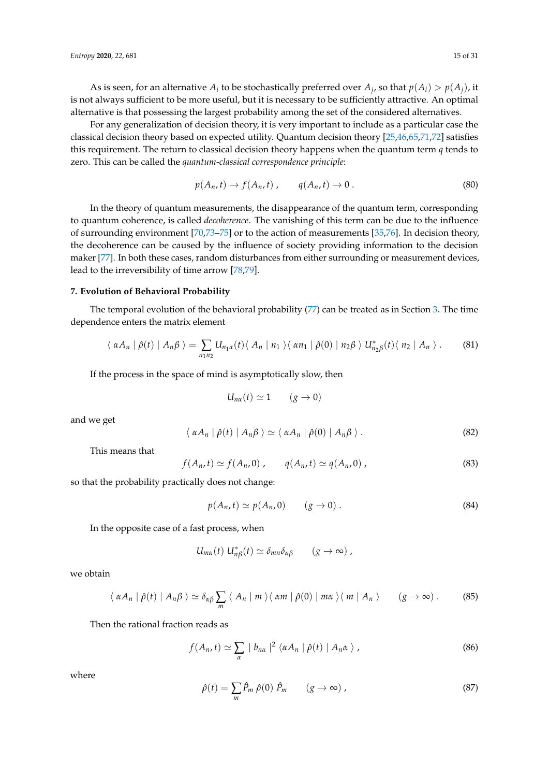As is seen, for an alternative  $A_i$  to be stochastically preferred over  $A_j$ , so that  $p(A_i) > p(A_j)$ , it is not always sufficient to be more useful, but it is necessary to be sufficiently attractive. An optimal alternative is that possessing the largest probability among the set of the considered alternatives.

For any generalization of decision theory, it is very important to include as a particular case the classical decision theory based on expected utility. Quantum decision theory [\[25,](#page-28-16)[46](#page-29-10)[,65](#page-30-1)[,71](#page-30-7)[,72\]](#page-30-8) satisfies this requirement. The return to classical decision theory happens when the quantum term *q* tends to zero. This can be called the *quantum-classical correspondence principle*:

$$
p(A_n, t) \to f(A_n, t) , \qquad q(A_n, t) \to 0 . \tag{80}
$$

In the theory of quantum measurements, the disappearance of the quantum term, corresponding to quantum coherence, is called *decoherence*. The vanishing of this term can be due to the influence of surrounding environment [\[70,](#page-30-6)[73](#page-30-9)[–75\]](#page-30-10) or to the action of measurements [\[35](#page-29-0)[,76\]](#page-30-11). In decision theory, the decoherence can be caused by the influence of society providing information to the decision maker [\[77\]](#page-30-12). In both these cases, random disturbances from either surrounding or measurement devices, lead to the irreversibility of time arrow [\[78,](#page-30-13)[79\]](#page-30-14).

# <span id="page-15-0"></span>**7. Evolution of Behavioral Probability**

The temporal evolution of the behavioral probability [\(77\)](#page-14-1) can be treated as in Section [3.](#page-4-4) The time dependence enters the matrix element

$$
\langle \alpha A_n | \hat{\rho}(t) | A_n \beta \rangle = \sum_{n_1 n_2} U_{n_1 \alpha}(t) \langle A_n | n_1 \rangle \langle \alpha n_1 | \hat{\rho}(0) | n_2 \beta \rangle U_{n_2 \beta}^*(t) \langle n_2 | A_n \rangle. \tag{81}
$$

If the process in the space of mind is asymptotically slow, then

$$
U_{n\alpha}(t) \simeq 1 \qquad (g \to 0)
$$

and we get

$$
\langle \alpha A_n | \hat{\rho}(t) | A_n \beta \rangle \simeq \langle \alpha A_n | \hat{\rho}(0) | A_n \beta \rangle. \tag{82}
$$

This means that

$$
f(A_n,t) \simeq f(A_n,0) , \qquad q(A_n,t) \simeq q(A_n,0) , \qquad (83)
$$

so that the probability practically does not change:

$$
p(A_n, t) \simeq p(A_n, 0) \qquad (g \to 0).
$$
 (84)

In the opposite case of a fast process, when

$$
U_{m\alpha}(t) U_{n\beta}^*(t) \simeq \delta_{mn}\delta_{\alpha\beta} \qquad (g \to \infty) ,
$$

we obtain

$$
\langle \alpha A_n | \hat{\rho}(t) | A_n \beta \rangle \simeq \delta_{\alpha\beta} \sum_m \langle A_n | m \rangle \langle \alpha m | \hat{\rho}(0) | m\alpha \rangle \langle m | A_n \rangle \qquad (g \to \infty).
$$
 (85)

Then the rational fraction reads as

$$
f(A_n,t) \simeq \sum_{\alpha} |b_{n\alpha}|^2 \langle \alpha A_n | \hat{\rho}(t) | A_n \alpha \rangle, \qquad (86)
$$

where

$$
\hat{\rho}(t) = \sum_{m} \hat{P}_m \hat{\rho}(0) \hat{P}_m \qquad (g \to \infty) ,
$$
\n(87)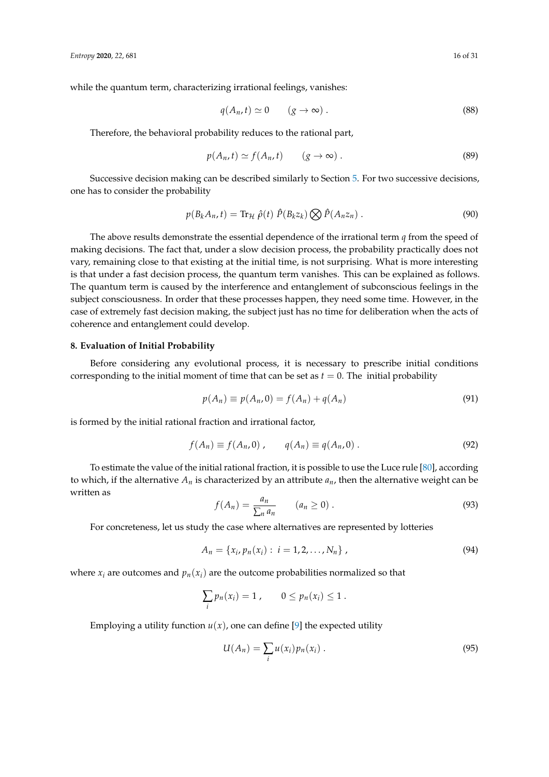while the quantum term, characterizing irrational feelings, vanishes:

$$
q(A_n, t) \simeq 0 \qquad (g \to \infty) \,.
$$

Therefore, the behavioral probability reduces to the rational part,

$$
p(A_n, t) \simeq f(A_n, t) \qquad (g \to \infty) \,. \tag{89}
$$

Successive decision making can be described similarly to Section [5.](#page-9-3) For two successive decisions, one has to consider the probability

$$
p(B_k A_n, t) = \text{Tr}_{\mathcal{H}} \hat{\rho}(t) \hat{P}(B_k z_k) \bigotimes \hat{P}(A_n z_n) . \tag{90}
$$

The above results demonstrate the essential dependence of the irrational term *q* from the speed of making decisions. The fact that, under a slow decision process, the probability practically does not vary, remaining close to that existing at the initial time, is not surprising. What is more interesting is that under a fast decision process, the quantum term vanishes. This can be explained as follows. The quantum term is caused by the interference and entanglement of subconscious feelings in the subject consciousness. In order that these processes happen, they need some time. However, in the case of extremely fast decision making, the subject just has no time for deliberation when the acts of coherence and entanglement could develop.

#### <span id="page-16-0"></span>**8. Evaluation of Initial Probability**

Before considering any evolutional process, it is necessary to prescribe initial conditions corresponding to the initial moment of time that can be set as  $t = 0$ . The initial probability

$$
p(A_n) \equiv p(A_n, 0) = f(A_n) + q(A_n)
$$
\n(91)

is formed by the initial rational fraction and irrational factor,

$$
f(A_n) \equiv f(A_n, 0) , \qquad q(A_n) \equiv q(A_n, 0) . \tag{92}
$$

To estimate the value of the initial rational fraction, it is possible to use the Luce rule [\[80\]](#page-30-15), according to which, if the alternative  $A_n$  is characterized by an attribute  $a_n$ , then the alternative weight can be written as

$$
f(A_n) = \frac{a_n}{\sum_n a_n} \qquad (a_n \ge 0) \ . \tag{93}
$$

For concreteness, let us study the case where alternatives are represented by lotteries

$$
A_n = \{x_i, p_n(x_i): i = 1, 2, ..., N_n\},
$$
\n(94)

where  $x_i$  are outcomes and  $p_n(x_i)$  are the outcome probabilities normalized so that

$$
\sum_i p_n(x_i) = 1, \qquad 0 \leq p_n(x_i) \leq 1.
$$

Employing a utility function  $u(x)$ , one can define [\[9\]](#page-28-4) the expected utility

$$
U(A_n) = \sum_i u(x_i) p_n(x_i) \,. \tag{95}
$$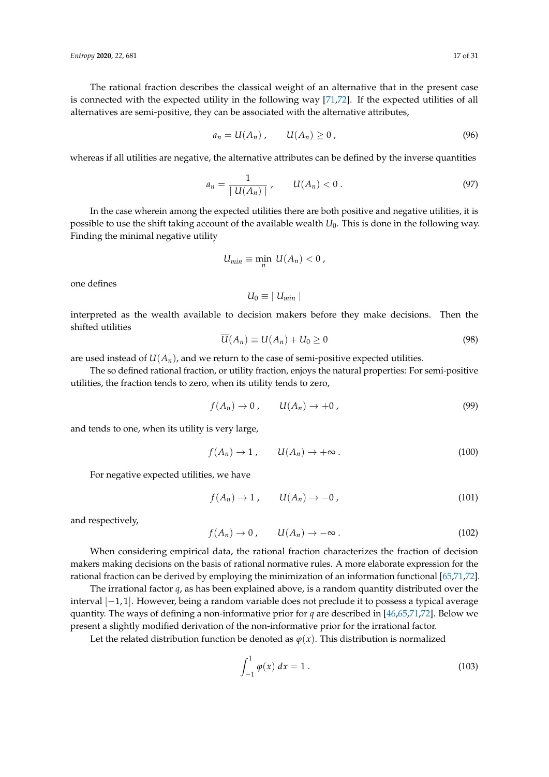The rational fraction describes the classical weight of an alternative that in the present case is connected with the expected utility in the following way [\[71,](#page-30-7)[72\]](#page-30-8). If the expected utilities of all alternatives are semi-positive, they can be associated with the alternative attributes,

$$
a_n = U(A_n) , \qquad U(A_n) \geq 0 , \qquad (96)
$$

whereas if all utilities are negative, the alternative attributes can be defined by the inverse quantities

$$
a_n = \frac{1}{|U(A_n)|}, \qquad U(A_n) < 0. \tag{97}
$$

In the case wherein among the expected utilities there are both positive and negative utilities, it is possible to use the shift taking account of the available wealth *U*0. This is done in the following way. Finding the minimal negative utility

$$
U_{min}\equiv \min_n \; U(A_n) < 0 \; ,
$$

one defines

$$
U_0 \equiv | U_{min} |
$$

interpreted as the wealth available to decision makers before they make decisions. Then the shifted utilities

$$
\overline{U}(A_n) \equiv U(A_n) + U_0 \ge 0 \tag{98}
$$

are used instead of  $U(A_n)$ , and we return to the case of semi-positive expected utilities.

The so defined rational fraction, or utility fraction, enjoys the natural properties: For semi-positive utilities, the fraction tends to zero, when its utility tends to zero,

$$
f(A_n) \to 0, \qquad U(A_n) \to +0, \qquad (99)
$$

and tends to one, when its utility is very large,

$$
f(A_n) \to 1, \qquad U(A_n) \to +\infty \,.
$$
 (100)

For negative expected utilities, we have

$$
f(A_n) \to 1, \qquad U(A_n) \to -0, \tag{101}
$$

and respectively,

$$
f(A_n) \to 0, \qquad U(A_n) \to -\infty \,.
$$
 (102)

When considering empirical data, the rational fraction characterizes the fraction of decision makers making decisions on the basis of rational normative rules. A more elaborate expression for the rational fraction can be derived by employing the minimization of an information functional [\[65](#page-30-1)[,71](#page-30-7)[,72\]](#page-30-8).

The irrational factor *q*, as has been explained above, is a random quantity distributed over the interval [−1, 1]. However, being a random variable does not preclude it to possess a typical average quantity. The ways of defining a non-informative prior for *q* are described in [\[46,](#page-29-10)[65,](#page-30-1)[71,](#page-30-7)[72\]](#page-30-8). Below we present a slightly modified derivation of the non-informative prior for the irrational factor.

Let the related distribution function be denoted as  $\varphi(x)$ . This distribution is normalized

<span id="page-17-0"></span>
$$
\int_{-1}^{1} \varphi(x) \, dx = 1 \,. \tag{103}
$$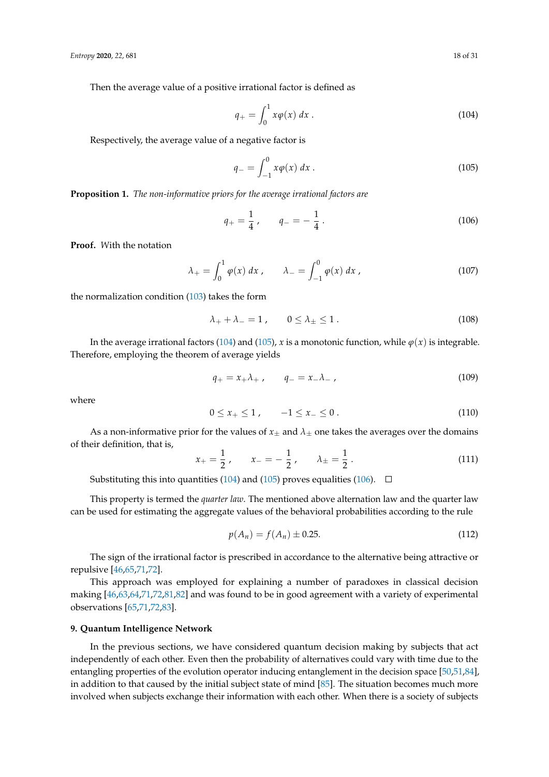Then the average value of a positive irrational factor is defined as

<span id="page-18-0"></span>
$$
q_{+} = \int_{0}^{1} x \varphi(x) \, dx \,. \tag{104}
$$

Respectively, the average value of a negative factor is

<span id="page-18-1"></span>
$$
q_{-} = \int_{-1}^{0} x \varphi(x) \, dx \,. \tag{105}
$$

**Proposition 1.** *The non-informative priors for the average irrational factors are*

<span id="page-18-2"></span>
$$
q_{+} = \frac{1}{4} \,, \qquad q_{-} = -\frac{1}{4} \,. \tag{106}
$$

**Proof.** *W*ith the notation

$$
\lambda_{+} = \int_{0}^{1} \varphi(x) \, dx \,, \qquad \lambda_{-} = \int_{-1}^{0} \varphi(x) \, dx \,, \tag{107}
$$

the normalization condition [\(103\)](#page-17-0) takes the form

$$
\lambda_+ + \lambda_- = 1 \,, \qquad 0 \le \lambda_\pm \le 1 \,. \tag{108}
$$

In the average irrational factors [\(104\)](#page-18-0) and [\(105\)](#page-18-1), *x* is a monotonic function, while  $\varphi(x)$  is integrable. Therefore, employing the theorem of average yields

$$
q_{+} = x_{+} \lambda_{+} , \qquad q_{-} = x_{-} \lambda_{-} , \qquad (109)
$$

where

$$
0 \le x_+ \le 1, \qquad -1 \le x_- \le 0. \tag{110}
$$

As a non-informative prior for the values of  $x_+$  and  $\lambda_+$  one takes the averages over the domains of their definition, that is,

$$
x_{+} = \frac{1}{2}, \qquad x_{-} = -\frac{1}{2}, \qquad \lambda_{\pm} = \frac{1}{2}.
$$
 (111)

Substituting this into quantities [\(104\)](#page-18-0) and [\(105\)](#page-18-1) proves equalities [\(106\)](#page-18-2).  $\Box$ 

This property is termed the *quarter law*. The mentioned above alternation law and the quarter law can be used for estimating the aggregate values of the behavioral probabilities according to the rule

$$
p(A_n) = f(A_n) \pm 0.25.
$$
 (112)

The sign of the irrational factor is prescribed in accordance to the alternative being attractive or repulsive [\[46,](#page-29-10)[65,](#page-30-1)[71,](#page-30-7)[72\]](#page-30-8).

This approach was employed for explaining a number of paradoxes in classical decision making [\[46,](#page-29-10)[63,](#page-30-0)[64](#page-30-16)[,71](#page-30-7)[,72](#page-30-8)[,81](#page-30-17)[,82\]](#page-30-18) and was found to be in good agreement with a variety of experimental observations [\[65](#page-30-1)[,71](#page-30-7)[,72](#page-30-8)[,83\]](#page-30-19).

#### <span id="page-18-3"></span>**9. Quantum Intelligence Network**

In the previous sections, we have considered quantum decision making by subjects that act independently of each other. Even then the probability of alternatives could vary with time due to the entangling properties of the evolution operator inducing entanglement in the decision space [\[50](#page-29-21)[,51](#page-29-11)[,84\]](#page-30-20), in addition to that caused by the initial subject state of mind [\[85\]](#page-30-21). The situation becomes much more involved when subjects exchange their information with each other. When there is a society of subjects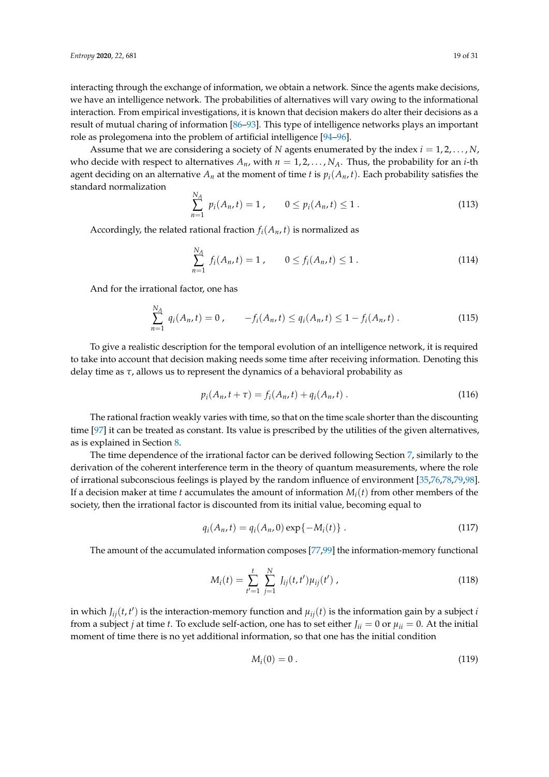interacting through the exchange of information, we obtain a network. Since the agents make decisions, we have an intelligence network. The probabilities of alternatives will vary owing to the informational interaction. From empirical investigations, it is known that decision makers do alter their decisions as a result of mutual charing of information [\[86–](#page-30-22)[93\]](#page-30-23). This type of intelligence networks plays an important role as prolegomena into the problem of artificial intelligence [\[94–](#page-31-0)[96\]](#page-31-1).

Assume that we are considering a society of *N* agents enumerated by the index *i* = 1, 2, . . . , *N*, who decide with respect to alternatives  $A_n$ , with  $n = 1, 2, \ldots, N_A$ . Thus, the probability for an *i*-th agent deciding on an alternative  $A_n$  at the moment of time *t* is  $p_i(A_n, t)$ . Each probability satisfies the standard normalization

$$
\sum_{n=1}^{N_A} p_i(A_n, t) = 1, \qquad 0 \le p_i(A_n, t) \le 1.
$$
\n(113)

Accordingly, the related rational fraction  $f_i(A_n, t)$  is normalized as

*n*=1

$$
\sum_{n=1}^{N_A} f_i(A_n, t) = 1, \qquad 0 \le f_i(A_n, t) \le 1.
$$
\n(114)

And for the irrational factor, one has

$$
\sum_{n=1}^{N_A} q_i(A_n, t) = 0, \qquad -f_i(A_n, t) \le q_i(A_n, t) \le 1 - f_i(A_n, t).
$$
 (115)

To give a realistic description for the temporal evolution of an intelligence network, it is required to take into account that decision making needs some time after receiving information. Denoting this delay time as *τ*, allows us to represent the dynamics of a behavioral probability as

$$
p_i(A_n, t + \tau) = f_i(A_n, t) + q_i(A_n, t) \,. \tag{116}
$$

The rational fraction weakly varies with time, so that on the time scale shorter than the discounting time [\[97\]](#page-31-2) it can be treated as constant. Its value is prescribed by the utilities of the given alternatives, as is explained in Section [8.](#page-16-0)

The time dependence of the irrational factor can be derived following Section [7,](#page-15-0) similarly to the derivation of the coherent interference term in the theory of quantum measurements, where the role of irrational subconscious feelings is played by the random influence of environment [\[35](#page-29-0)[,76](#page-30-11)[,78](#page-30-13)[,79,](#page-30-14)[98\]](#page-31-3). If a decision maker at time *t* accumulates the amount of information  $M_i(t)$  from other members of the society, then the irrational factor is discounted from its initial value, becoming equal to

$$
q_i(A_n, t) = q_i(A_n, 0) \exp\{-M_i(t)\}.
$$
 (117)

The amount of the accumulated information composes [\[77](#page-30-12)[,99\]](#page-31-4) the information-memory functional

$$
M_i(t) = \sum_{t'=1}^t \sum_{j=1}^N J_{ij}(t, t') \mu_{ij}(t') , \qquad (118)
$$

in which  $J_{ij}(t, t')$  is the interaction-memory function and  $\mu_{ij}(t)$  is the information gain by a subject *i* from a subject *j* at time *t*. To exclude self-action, one has to set either  $J_{ii} = 0$  or  $\mu_{ii} = 0$ . At the initial moment of time there is no yet additional information, so that one has the initial condition

$$
M_i(0) = 0. \tag{119}
$$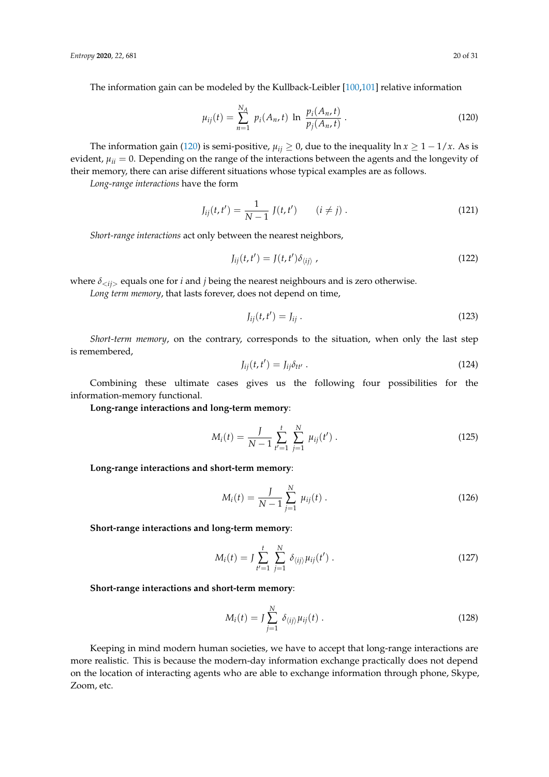The information gain can be modeled by the Kullback-Leibler [\[100](#page-31-5)[,101\]](#page-31-6) relative information

<span id="page-20-0"></span>
$$
\mu_{ij}(t) = \sum_{n=1}^{N_A} p_i(A_n, t) \ln \frac{p_i(A_n, t)}{p_j(A_n, t)}.
$$
\n(120)

The information gain [\(120\)](#page-20-0) is semi-positive,  $\mu_{ij} \ge 0$ , due to the inequality  $\ln x \ge 1 - 1/x$ . As is evident,  $\mu_{ii} = 0$ . Depending on the range of the interactions between the agents and the longevity of their memory, there can arise different situations whose typical examples are as follows.

*Long-range interactions* have the form

$$
J_{ij}(t, t') = \frac{1}{N - 1} J(t, t') \qquad (i \neq j).
$$
 (121)

*Short-range interactions* act only between the nearest neighbors,

$$
J_{ij}(t, t') = J(t, t') \delta_{\langle ij \rangle}, \qquad (122)
$$

where  $\delta_{\langle i \rangle}$  equals one for *i* and *j* being the nearest neighbours and is zero otherwise.

*Long term memory*, that lasts forever, does not depend on time,

$$
J_{ij}(t, t') = J_{ij} \tag{123}
$$

*Short-term memory*, on the contrary, corresponds to the situation, when only the last step is remembered,

$$
J_{ij}(t, t') = J_{ij}\delta_{tt'}.
$$
\n(124)

Combining these ultimate cases gives us the following four possibilities for the information-memory functional.

**Long-range interactions and long-term memory**:

$$
M_i(t) = \frac{J}{N-1} \sum_{t'=1}^t \sum_{j=1}^N \mu_{ij}(t').
$$
 (125)

**Long-range interactions and short-term memory**:

$$
M_i(t) = \frac{J}{N-1} \sum_{j=1}^{N} \mu_{ij}(t) .
$$
 (126)

**Short-range interactions and long-term memory**:

$$
M_i(t) = J \sum_{t'=1}^{t} \sum_{j=1}^{N} \delta_{\langle ij \rangle} \mu_{ij}(t') .
$$
 (127)

**Short-range interactions and short-term memory**:

$$
M_i(t) = J \sum_{j=1}^{N} \delta_{\langle ij \rangle} \mu_{ij}(t) .
$$
 (128)

Keeping in mind modern human societies, we have to accept that long-range interactions are more realistic. This is because the modern-day information exchange practically does not depend on the location of interacting agents who are able to exchange information through phone, Skype, Zoom, etc.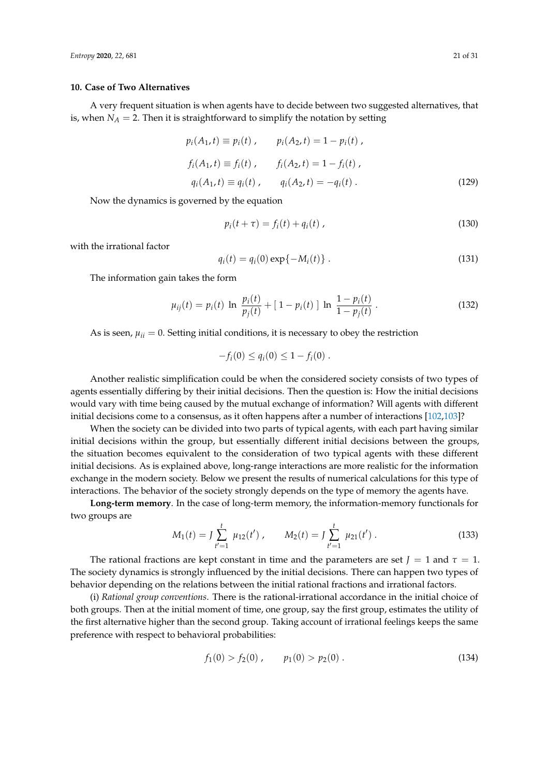#### <span id="page-21-0"></span>**10. Case of Two Alternatives**

A very frequent situation is when agents have to decide between two suggested alternatives, that is, when  $N_A = 2$ . Then it is straightforward to simplify the notation by setting

$$
p_i(A_1, t) \equiv p_i(t), \qquad p_i(A_2, t) = 1 - p_i(t),
$$
  
\n
$$
f_i(A_1, t) \equiv f_i(t), \qquad f_i(A_2, t) = 1 - f_i(t),
$$
  
\n
$$
q_i(A_1, t) \equiv q_i(t), \qquad q_i(A_2, t) = -q_i(t).
$$
\n(129)

Now the dynamics is governed by the equation

$$
p_i(t + \tau) = f_i(t) + q_i(t) \tag{130}
$$

with the irrational factor

$$
q_i(t) = q_i(0) \exp\{-M_i(t)\}.
$$
 (131)

The information gain takes the form

$$
\mu_{ij}(t) = p_i(t) \ln \frac{p_i(t)}{p_j(t)} + [1 - p_i(t)] \ln \frac{1 - p_i(t)}{1 - p_j(t)}.
$$
\n(132)

As is seen,  $\mu_{ii} = 0$ . Setting initial conditions, it is necessary to obey the restriction

$$
-f_i(0) \le q_i(0) \le 1 - f_i(0) .
$$

Another realistic simplification could be when the considered society consists of two types of agents essentially differing by their initial decisions. Then the question is: How the initial decisions would vary with time being caused by the mutual exchange of information? Will agents with different initial decisions come to a consensus, as it often happens after a number of interactions [\[102](#page-31-7)[,103\]](#page-31-8)?

When the society can be divided into two parts of typical agents, with each part having similar initial decisions within the group, but essentially different initial decisions between the groups, the situation becomes equivalent to the consideration of two typical agents with these different initial decisions. As is explained above, long-range interactions are more realistic for the information exchange in the modern society. Below we present the results of numerical calculations for this type of interactions. The behavior of the society strongly depends on the type of memory the agents have.

**Long-term memory**. In the case of long-term memory, the information-memory functionals for two groups are

$$
M_1(t) = J \sum_{t'=1}^t \mu_{12}(t'), \qquad M_2(t) = J \sum_{t'=1}^t \mu_{21}(t'). \qquad (133)
$$

The rational fractions are kept constant in time and the parameters are set  $J = 1$  and  $\tau = 1$ . The society dynamics is strongly influenced by the initial decisions. There can happen two types of behavior depending on the relations between the initial rational fractions and irrational factors.

(i) *Rational group conventions*. There is the rational-irrational accordance in the initial choice of both groups. Then at the initial moment of time, one group, say the first group, estimates the utility of the first alternative higher than the second group. Taking account of irrational feelings keeps the same preference with respect to behavioral probabilities:

$$
f_1(0) > f_2(0) , \qquad p_1(0) > p_2(0) . \tag{134}
$$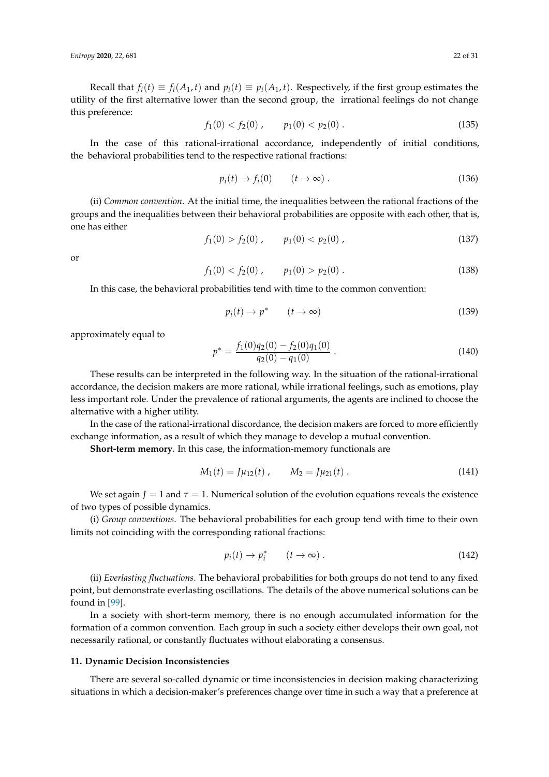Recall that  $f_i(t) \equiv f_i(A_1, t)$  and  $p_i(t) \equiv p_i(A_1, t)$ . Respectively, if the first group estimates the utility of the first alternative lower than the second group, the irrational feelings do not change this preference:

$$
f_1(0) < f_2(0), \quad p_1(0) < p_2(0). \tag{135}
$$

In the case of this rational-irrational accordance, independently of initial conditions, the behavioral probabilities tend to the respective rational fractions:

$$
p_i(t) \to f_i(0) \qquad (t \to \infty) \tag{136}
$$

(ii) *Common convention*. At the initial time, the inequalities between the rational fractions of the groups and the inequalities between their behavioral probabilities are opposite with each other, that is, one has either

$$
f_1(0) > f_2(0) , \qquad p_1(0) < p_2(0) , \qquad (137)
$$

or

$$
f_1(0) < f_2(0), \quad p_1(0) > p_2(0). \tag{138}
$$

In this case, the behavioral probabilities tend with time to the common convention:

$$
p_i(t) \to p^* \qquad (t \to \infty) \tag{139}
$$

approximately equal to

$$
p^* = \frac{f_1(0)q_2(0) - f_2(0)q_1(0)}{q_2(0) - q_1(0)}.
$$
\n(140)

These results can be interpreted in the following way. In the situation of the rational-irrational accordance, the decision makers are more rational, while irrational feelings, such as emotions, play less important role. Under the prevalence of rational arguments, the agents are inclined to choose the alternative with a higher utility.

In the case of the rational-irrational discordance, the decision makers are forced to more efficiently exchange information, as a result of which they manage to develop a mutual convention.

**Short-term memory**. In this case, the information-memory functionals are

$$
M_1(t) = J\mu_{12}(t) , \qquad M_2 = J\mu_{21}(t) . \tag{141}
$$

We set again  $J = 1$  and  $\tau = 1$ . Numerical solution of the evolution equations reveals the existence of two types of possible dynamics.

(i) *Group conventions*. The behavioral probabilities for each group tend with time to their own limits not coinciding with the corresponding rational fractions:

$$
p_i(t) \to p_i^* \qquad (t \to \infty) \ . \tag{142}
$$

(ii) *Everlasting fluctuations*. The behavioral probabilities for both groups do not tend to any fixed point, but demonstrate everlasting oscillations. The details of the above numerical solutions can be found in [\[99\]](#page-31-4).

In a society with short-term memory, there is no enough accumulated information for the formation of a common convention. Each group in such a society either develops their own goal, not necessarily rational, or constantly fluctuates without elaborating a consensus.

#### **11. Dynamic Decision Inconsistencies**

There are several so-called dynamic or time inconsistencies in decision making characterizing situations in which a decision-maker's preferences change over time in such a way that a preference at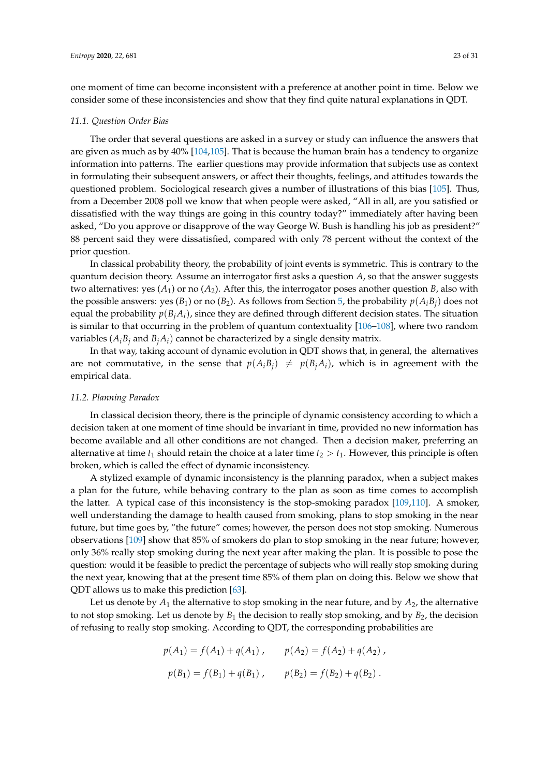one moment of time can become inconsistent with a preference at another point in time. Below we consider some of these inconsistencies and show that they find quite natural explanations in QDT.

#### *11.1. Question Order Bias*

The order that several questions are asked in a survey or study can influence the answers that are given as much as by 40% [\[104](#page-31-9)[,105\]](#page-31-10). That is because the human brain has a tendency to organize information into patterns. The earlier questions may provide information that subjects use as context in formulating their subsequent answers, or affect their thoughts, feelings, and attitudes towards the questioned problem. Sociological research gives a number of illustrations of this bias [\[105\]](#page-31-10). Thus, from a December 2008 poll we know that when people were asked, "All in all, are you satisfied or dissatisfied with the way things are going in this country today?" immediately after having been asked, "Do you approve or disapprove of the way George W. Bush is handling his job as president?" 88 percent said they were dissatisfied, compared with only 78 percent without the context of the prior question.

In classical probability theory, the probability of joint events is symmetric. This is contrary to the quantum decision theory. Assume an interrogator first asks a question *A*, so that the answer suggests two alternatives: yes  $(A_1)$  or no  $(A_2)$ . After this, the interrogator poses another question *B*, also with the possible answers: yes  $(B_1)$  or no  $(B_2)$ . As follows from Section [5,](#page-9-3) the probability  $p(A_iB_j)$  does not equal the probability  $p(B_iA_i)$ , since they are defined through different decision states. The situation is similar to that occurring in the problem of quantum contextuality [\[106](#page-31-11)[–108\]](#page-31-12), where two random variables  $(A_i B_i$  and  $B_i A_i)$  cannot be characterized by a single density matrix.

In that way, taking account of dynamic evolution in QDT shows that, in general, the alternatives are not commutative, in the sense that  $p(A_iB_j) \neq p(B_jA_i)$ , which is in agreement with the empirical data.

#### *11.2. Planning Paradox*

In classical decision theory, there is the principle of dynamic consistency according to which a decision taken at one moment of time should be invariant in time, provided no new information has become available and all other conditions are not changed. Then a decision maker, preferring an alternative at time  $t_1$  should retain the choice at a later time  $t_2 > t_1$ . However, this principle is often broken, which is called the effect of dynamic inconsistency.

A stylized example of dynamic inconsistency is the planning paradox, when a subject makes a plan for the future, while behaving contrary to the plan as soon as time comes to accomplish the latter. A typical case of this inconsistency is the stop-smoking paradox [\[109,](#page-31-13)[110\]](#page-31-14). A smoker, well understanding the damage to health caused from smoking, plans to stop smoking in the near future, but time goes by, "the future" comes; however, the person does not stop smoking. Numerous observations [\[109\]](#page-31-13) show that 85% of smokers do plan to stop smoking in the near future; however, only 36% really stop smoking during the next year after making the plan. It is possible to pose the question: would it be feasible to predict the percentage of subjects who will really stop smoking during the next year, knowing that at the present time 85% of them plan on doing this. Below we show that QDT allows us to make this prediction [\[63\]](#page-30-0).

Let us denote by  $A_1$  the alternative to stop smoking in the near future, and by  $A_2$ , the alternative to not stop smoking. Let us denote by  $B_1$  the decision to really stop smoking, and by  $B_2$ , the decision of refusing to really stop smoking. According to QDT, the corresponding probabilities are

$$
p(A_1) = f(A_1) + q(A_1), \qquad p(A_2) = f(A_2) + q(A_2),
$$
  

$$
p(B_1) = f(B_1) + q(B_1), \qquad p(B_2) = f(B_2) + q(B_2).
$$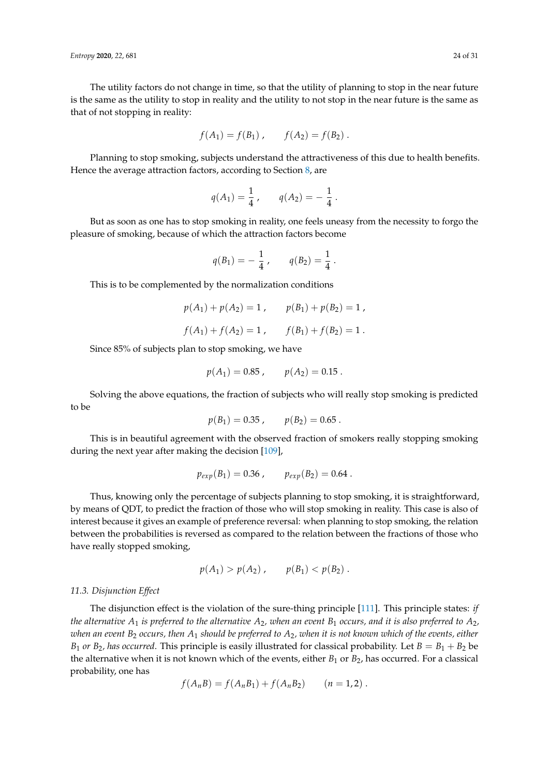The utility factors do not change in time, so that the utility of planning to stop in the near future is the same as the utility to stop in reality and the utility to not stop in the near future is the same as that of not stopping in reality:

$$
f(A_1) = f(B_1)
$$
,  $f(A_2) = f(B_2)$ .

Planning to stop smoking, subjects understand the attractiveness of this due to health benefits. Hence the average attraction factors, according to Section [8,](#page-16-0) are

$$
q(A_1) = \frac{1}{4}
$$
,  $q(A_2) = -\frac{1}{4}$ .

But as soon as one has to stop smoking in reality, one feels uneasy from the necessity to forgo the pleasure of smoking, because of which the attraction factors become

$$
q(B_1) = -\frac{1}{4}
$$
,  $q(B_2) = \frac{1}{4}$ .

This is to be complemented by the normalization conditions

$$
p(A_1) + p(A_2) = 1
$$
,  $p(B_1) + p(B_2) = 1$ ,  
 $f(A_1) + f(A_2) = 1$ ,  $f(B_1) + f(B_2) = 1$ .

Since 85% of subjects plan to stop smoking, we have

$$
p(A_1) = 0.85
$$
,  $p(A_2) = 0.15$ .

Solving the above equations, the fraction of subjects who will really stop smoking is predicted to be

$$
p(B_1) = 0.35, \qquad p(B_2) = 0.65.
$$

This is in beautiful agreement with the observed fraction of smokers really stopping smoking during the next year after making the decision [\[109\]](#page-31-13),

$$
p_{exp}(B_1) = 0.36 , \qquad p_{exp}(B_2) = 0.64 .
$$

Thus, knowing only the percentage of subjects planning to stop smoking, it is straightforward, by means of QDT, to predict the fraction of those who will stop smoking in reality. This case is also of interest because it gives an example of preference reversal: when planning to stop smoking, the relation between the probabilities is reversed as compared to the relation between the fractions of those who have really stopped smoking,

$$
p(A_1) > p(A_2)
$$
,  $p(B_1) < p(B_2)$ .

#### *11.3. Disjunction Effect*

The disjunction effect is the violation of the sure-thing principle [\[111\]](#page-31-15). This principle states: *if the alternative*  $A_1$  *is preferred to the alternative*  $A_2$ *, when an event*  $B_1$  *occurs, and it is also preferred to*  $A_2$ *, when an event B*<sup>2</sup> *occurs, then A*<sup>1</sup> *should be preferred to A*2*, when it is not known which of the events, either B*<sub>1</sub> *or B*<sub>2</sub>*, has occurred*. This principle is easily illustrated for classical probability. Let  $B = B_1 + B_2$  be the alternative when it is not known which of the events, either  $B_1$  or  $B_2$ , has occurred. For a classical probability, one has

$$
f(A_nB) = f(A_nB_1) + f(A_nB_2) \qquad (n = 1, 2) .
$$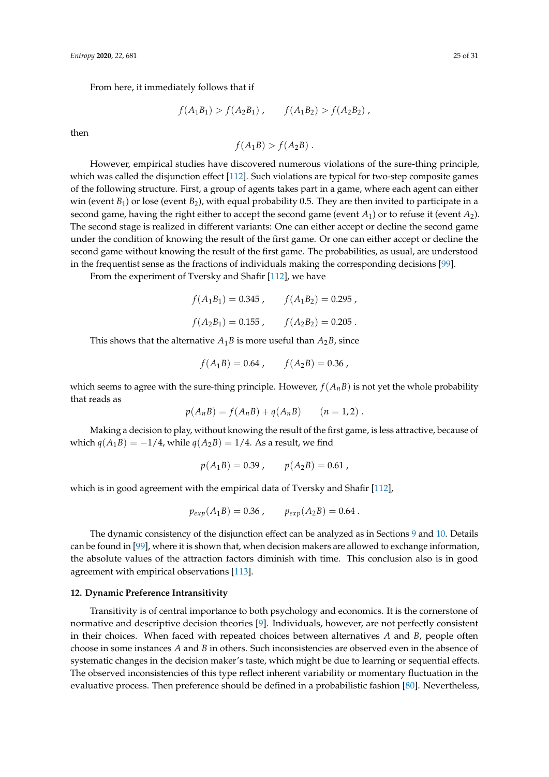From here, it immediately follows that if

$$
f(A_1B_1) > f(A_2B_1) , \qquad f(A_1B_2) > f(A_2B_2) ,
$$

then

$$
f(A_1B) > f(A_2B) .
$$

However, empirical studies have discovered numerous violations of the sure-thing principle, which was called the disjunction effect [\[112\]](#page-31-16). Such violations are typical for two-step composite games of the following structure. First, a group of agents takes part in a game, where each agent can either win (event *B*<sub>1</sub>) or lose (event *B*<sub>2</sub>), with equal probability 0.5. They are then invited to participate in a second game, having the right either to accept the second game (event  $A_1$ ) or to refuse it (event  $A_2$ ). The second stage is realized in different variants: One can either accept or decline the second game under the condition of knowing the result of the first game. Or one can either accept or decline the second game without knowing the result of the first game. The probabilities, as usual, are understood in the frequentist sense as the fractions of individuals making the corresponding decisions [\[99\]](#page-31-4).

From the experiment of Tversky and Shafir [\[112\]](#page-31-16), we have

 $f(A_1B_1) = 0.345$ ,  $f(A_1B_2) = 0.295$ ,  $f(A_2B_1) = 0.155$ ,  $f(A_2B_2) = 0.205$ .

This shows that the alternative  $A_1B$  is more useful than  $A_2B$ , since

$$
f(A_1B) = 0.64 , \qquad f(A_2B) = 0.36 ,
$$

which seems to agree with the sure-thing principle. However,  $f(A<sub>n</sub>B)$  is not yet the whole probability that reads as

$$
p(A_nB) = f(A_nB) + q(A_nB) \qquad (n = 1,2) .
$$

Making a decision to play, without knowing the result of the first game, is less attractive, because of which  $q(A_1B) = -1/4$ , while  $q(A_2B) = 1/4$ . As a result, we find

$$
p(A_1B) = 0.39
$$
,  $p(A_2B) = 0.61$ ,

which is in good agreement with the empirical data of Tversky and Shafir [\[112\]](#page-31-16),

$$
p_{exp}(A_1B) = 0.36 , \qquad p_{exp}(A_2B) = 0.64 .
$$

The dynamic consistency of the disjunction effect can be analyzed as in Sections [9](#page-18-3) and [10.](#page-21-0) Details can be found in [\[99\]](#page-31-4), where it is shown that, when decision makers are allowed to exchange information, the absolute values of the attraction factors diminish with time. This conclusion also is in good agreement with empirical observations [\[113\]](#page-31-17).

#### **12. Dynamic Preference Intransitivity**

Transitivity is of central importance to both psychology and economics. It is the cornerstone of normative and descriptive decision theories [\[9\]](#page-28-4). Individuals, however, are not perfectly consistent in their choices. When faced with repeated choices between alternatives *A* and *B*, people often choose in some instances *A* and *B* in others. Such inconsistencies are observed even in the absence of systematic changes in the decision maker's taste, which might be due to learning or sequential effects. The observed inconsistencies of this type reflect inherent variability or momentary fluctuation in the evaluative process. Then preference should be defined in a probabilistic fashion [\[80\]](#page-30-15). Nevertheless,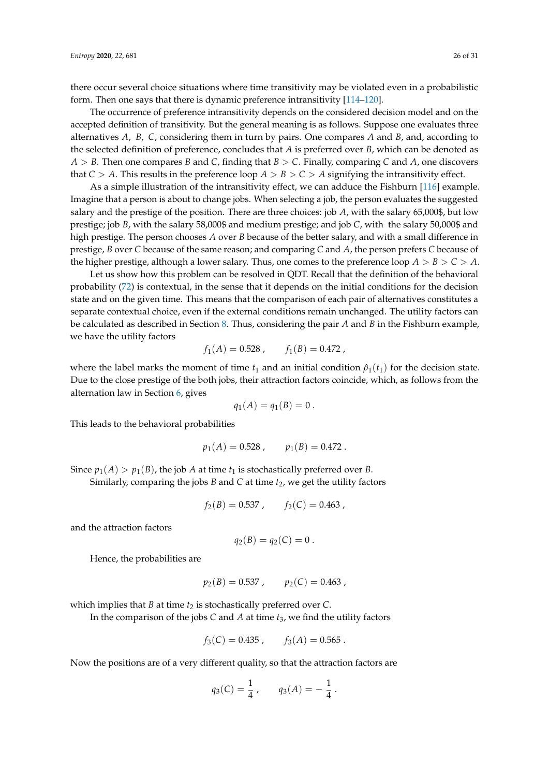there occur several choice situations where time transitivity may be violated even in a probabilistic form. Then one says that there is dynamic preference intransitivity [\[114](#page-31-18)[–120\]](#page-31-19).

The occurrence of preference intransitivity depends on the considered decision model and on the accepted definition of transitivity. But the general meaning is as follows. Suppose one evaluates three alternatives *A*, *B*, *C*, considering them in turn by pairs. One compares *A* and *B*, and, according to the selected definition of preference, concludes that *A* is preferred over *B*, which can be denoted as *A* > *B*. Then one compares *B* and *C*, finding that *B* > *C*. Finally, comparing *C* and *A*, one discovers that *C* > *A*. This results in the preference loop *A* > *B* > *C* > *A* signifying the intransitivity effect.

As a simple illustration of the intransitivity effect, we can adduce the Fishburn [\[116\]](#page-31-20) example. Imagine that a person is about to change jobs. When selecting a job, the person evaluates the suggested salary and the prestige of the position. There are three choices: job *A*, with the salary 65,000\$, but low prestige; job *B*, with the salary 58,000\$ and medium prestige; and job *C*, with the salary 50,000\$ and high prestige. The person chooses *A* over *B* because of the better salary, and with a small difference in prestige, *B* over *C* because of the same reason; and comparing *C* and *A*, the person prefers *C* because of the higher prestige, although a lower salary. Thus, one comes to the preference loop  $A > B > C > A$ .

Let us show how this problem can be resolved in QDT. Recall that the definition of the behavioral probability [\(72\)](#page-14-5) is contextual, in the sense that it depends on the initial conditions for the decision state and on the given time. This means that the comparison of each pair of alternatives constitutes a separate contextual choice, even if the external conditions remain unchanged. The utility factors can be calculated as described in Section [8.](#page-16-0) Thus, considering the pair *A* and *B* in the Fishburn example, we have the utility factors

$$
f_1(A) = 0.528 , f_1(B) = 0.472 ,
$$

where the label marks the moment of time  $t_1$  and an initial condition  $\hat{p}_1(t_1)$  for the decision state. Due to the close prestige of the both jobs, their attraction factors coincide, which, as follows from the alternation law in Section [6,](#page-12-0) gives

$$
q_1(A)=q_1(B)=0.
$$

This leads to the behavioral probabilities

$$
p_1(A) = 0.528 , \qquad p_1(B) = 0.472 .
$$

Since  $p_1(A) > p_1(B)$ , the job *A* at time  $t_1$  is stochastically preferred over *B*.

Similarly, comparing the jobs  $B$  and  $C$  at time  $t_2$ , we get the utility factors

$$
f_2(B) = 0.537 , \qquad f_2(C) = 0.463 ,
$$

and the attraction factors

$$
q_2(B)=q_2(C)=0.
$$

Hence, the probabilities are

$$
p_2(B) = 0.537 , \qquad p_2(C) = 0.463 ,
$$

which implies that *B* at time  $t_2$  is stochastically preferred over *C*.

In the comparison of the jobs *C* and *A* at time *t*3, we find the utility factors

$$
f_3(C) = 0.435 , \qquad f_3(A) = 0.565 .
$$

Now the positions are of a very different quality, so that the attraction factors are

$$
q_3(C) = \frac{1}{4}
$$
,  $q_3(A) = -\frac{1}{4}$ .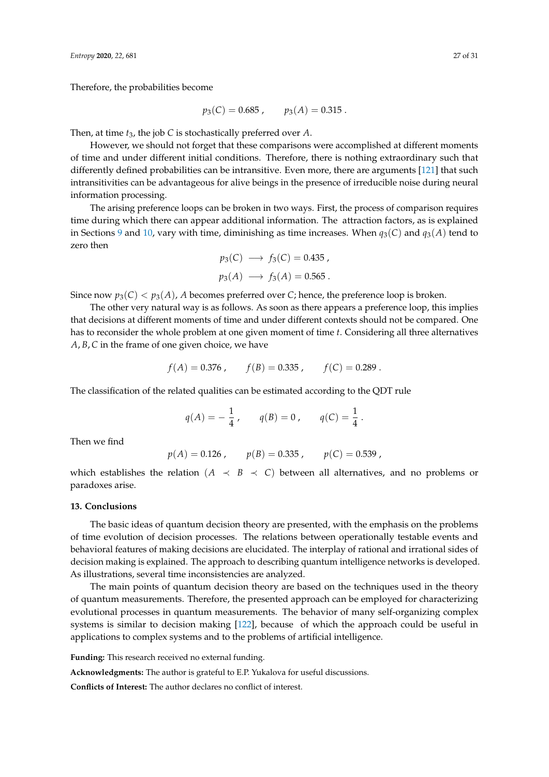Therefore, the probabilities become

$$
p_3(C) = 0.685
$$
,  $p_3(A) = 0.315$ .

Then, at time *t*3, the job *C* is stochastically preferred over *A*.

However, we should not forget that these comparisons were accomplished at different moments of time and under different initial conditions. Therefore, there is nothing extraordinary such that differently defined probabilities can be intransitive. Even more, there are arguments [\[121\]](#page-31-21) that such intransitivities can be advantageous for alive beings in the presence of irreducible noise during neural information processing.

The arising preference loops can be broken in two ways. First, the process of comparison requires time during which there can appear additional information. The attraction factors, as is explained in Sections [9](#page-18-3) and [10,](#page-21-0) vary with time, diminishing as time increases. When *q*3(*C*) and *q*3(*A*) tend to zero then

$$
p_3(C) \longrightarrow f_3(C) = 0.435,
$$
  

$$
p_3(A) \longrightarrow f_3(A) = 0.565.
$$

Since now  $p_3(C) < p_3(A)$ , *A* becomes preferred over *C*; hence, the preference loop is broken.

The other very natural way is as follows. As soon as there appears a preference loop, this implies that decisions at different moments of time and under different contexts should not be compared. One has to reconsider the whole problem at one given moment of time *t*. Considering all three alternatives *A*, *B*, *C* in the frame of one given choice, we have

$$
f(A) = 0.376
$$
,  $f(B) = 0.335$ ,  $f(C) = 0.289$ .

The classification of the related qualities can be estimated according to the QDT rule

$$
q(A) = -\frac{1}{4}
$$
,  $q(B) = 0$ ,  $q(C) = \frac{1}{4}$ .

Then we find

$$
p(A) = 0.126
$$
,  $p(B) = 0.335$ ,  $p(C) = 0.539$ ,

which establishes the relation ( $A \prec B \prec C$ ) between all alternatives, and no problems or paradoxes arise.

#### **13. Conclusions**

The basic ideas of quantum decision theory are presented, with the emphasis on the problems of time evolution of decision processes. The relations between operationally testable events and behavioral features of making decisions are elucidated. The interplay of rational and irrational sides of decision making is explained. The approach to describing quantum intelligence networks is developed. As illustrations, several time inconsistencies are analyzed.

The main points of quantum decision theory are based on the techniques used in the theory of quantum measurements. Therefore, the presented approach can be employed for characterizing evolutional processes in quantum measurements. The behavior of many self-organizing complex systems is similar to decision making [\[122\]](#page-31-22), because of which the approach could be useful in applications to complex systems and to the problems of artificial intelligence.

**Funding:** This research received no external funding.

**Acknowledgments:** The author is grateful to E.P. Yukalova for useful discussions.

**Conflicts of Interest:** The author declares no conflict of interest.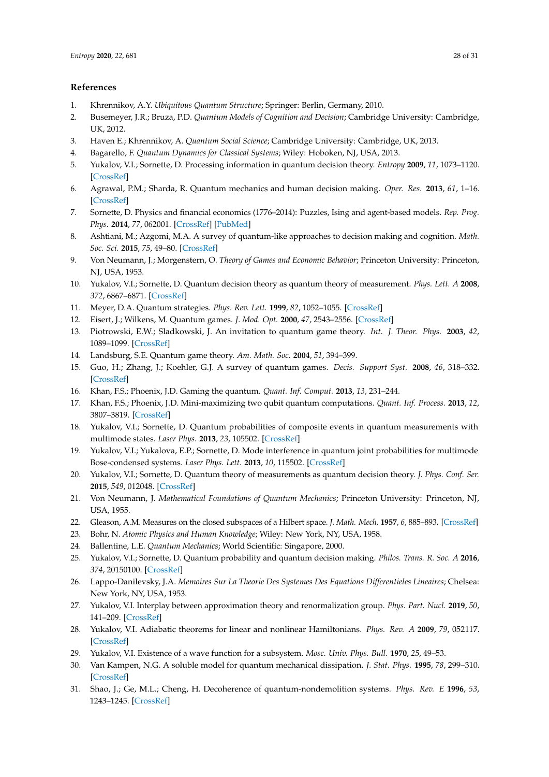# **References**

- <span id="page-28-0"></span>1. Khrennikov, A.Y. *Ubiquitous Quantum Structure*; Springer: Berlin, Germany, 2010.
- 2. Busemeyer, J.R.; Bruza, P.D. *Quantum Models of Cognition and Decision*; Cambridge University: Cambridge, UK, 2012.
- 3. Haven E.; Khrennikov, A. *Quantum Social Science*; Cambridge University: Cambridge, UK, 2013.
- <span id="page-28-1"></span>4. Bagarello, F. *Quantum Dynamics for Classical Systems*; Wiley: Hoboken, NJ, USA, 2013.
- <span id="page-28-2"></span>5. Yukalov, V.I.; Sornette, D. Processing information in quantum decision theory. *Entropy* **2009**, *11*, 1073–1120. [\[CrossRef\]](http://dx.doi.org/10.3390/e11041073)
- 6. Agrawal, P.M.; Sharda, R. Quantum mechanics and human decision making. *Oper. Res.* **2013**, *61*, 1–16. [\[CrossRef\]](http://dx.doi.org/10.1287/opre.1120.1068)
- 7. Sornette, D. Physics and financial economics (1776–2014): Puzzles, Ising and agent-based models. *Rep. Prog. Phys.* **2014**, *77*, 062001. [\[CrossRef\]](http://dx.doi.org/10.1088/0034-4885/77/6/062001) [\[PubMed\]](http://www.ncbi.nlm.nih.gov/pubmed/24875470)
- <span id="page-28-3"></span>8. Ashtiani, M.; Azgomi, M.A. A survey of quantum-like approaches to decision making and cognition. *Math. Soc. Sci.* **2015**, *75*, 49–80. [\[CrossRef\]](http://dx.doi.org/10.1016/j.mathsocsci.2015.02.004)
- <span id="page-28-4"></span>9. Von Neumann, J.; Morgenstern, O. *Theory of Games and Economic Behavior*; Princeton University: Princeton, NJ, USA, 1953.
- <span id="page-28-5"></span>10. Yukalov, V.I.; Sornette, D. Quantum decision theory as quantum theory of measurement. *Phys. Lett. A* **2008**, *372*, 6867–6871. [\[CrossRef\]](http://dx.doi.org/10.1016/j.physleta.2008.09.053)
- <span id="page-28-6"></span>11. Meyer, D.A. Quantum strategies. *Phys. Rev. Lett.* **1999**, *82*, 1052–1055. [\[CrossRef\]](http://dx.doi.org/10.1103/PhysRevLett.82.1052)
- 12. Eisert, J.; Wilkens, M. Quantum games. *J. Mod. Opt.* **2000**, *47*, 2543–2556. [\[CrossRef\]](http://dx.doi.org/10.1080/09500340008232180)
- 13. Piotrowski, E.W.; Sladkowski, J. An invitation to quantum game theory. *Int. J. Theor. Phys.* **2003**, *42*, 1089–1099. [\[CrossRef\]](http://dx.doi.org/10.1023/A:1025443111388)
- 14. Landsburg, S.E. Quantum game theory. *Am. Math. Soc.* **2004**, *51*, 394–399.
- <span id="page-28-7"></span>15. Guo, H.; Zhang, J.; Koehler, G.J. A survey of quantum games. *Decis. Support Syst.* **2008**, *46*, 318–332. [\[CrossRef\]](http://dx.doi.org/10.1016/j.dss.2008.07.001)
- <span id="page-28-8"></span>16. Khan, F.S.; Phoenix, J.D. Gaming the quantum. *Quant. Inf. Comput.* **2013**, *13*, 231–244.
- <span id="page-28-9"></span>17. Khan, F.S.; Phoenix, J.D. Mini-maximizing two qubit quantum computations. *Quant. Inf. Process.* **2013**, *12*, 3807–3819. [\[CrossRef\]](http://dx.doi.org/10.1007/s11128-013-0640-7)
- <span id="page-28-10"></span>18. Yukalov, V.I.; Sornette, D. Quantum probabilities of composite events in quantum measurements with multimode states. *Laser Phys.* **2013**, *23*, 105502. [\[CrossRef\]](http://dx.doi.org/10.1088/1054-660X/23/10/105502)
- 19. Yukalov, V.I.; Yukalova, E.P.; Sornette, D. Mode interference in quantum joint probabilities for multimode Bose-condensed systems. *Laser Phys. Lett.* **2013**, *10*, 115502. [\[CrossRef\]](http://dx.doi.org/10.1088/1612-2011/10/11/115502)
- <span id="page-28-11"></span>20. Yukalov, V.I.; Sornette, D. Quantum theory of measurements as quantum decision theory. *J. Phys. Conf. Ser.* **2015**, *549*, 012048. [\[CrossRef\]](http://dx.doi.org/10.1088/1742-6596/594/1/012048)
- <span id="page-28-12"></span>21. Von Neumann, J. *Mathematical Foundations of Quantum Mechanics*; Princeton University: Princeton, NJ, USA, 1955.
- <span id="page-28-13"></span>22. Gleason, A.M. Measures on the closed subspaces of a Hilbert space. *J. Math. Mech.* **1957**, *6*, 885–893. [\[CrossRef\]](http://dx.doi.org/10.1512/iumj.1957.6.56050)
- <span id="page-28-14"></span>23. Bohr, N. *Atomic Physics and Human Knowledge*; Wiley: New York, NY, USA, 1958.
- <span id="page-28-15"></span>24. Ballentine, L.E. *Quantum Mechanics*; World Scientific: Singapore, 2000.
- <span id="page-28-16"></span>25. Yukalov, V.I.; Sornette, D. Quantum probability and quantum decision making. *Philos. Trans. R. Soc. A* **2016**, *374*, 20150100. [\[CrossRef\]](http://dx.doi.org/10.1098/rsta.2015.0100)
- <span id="page-28-17"></span>26. Lappo-Danilevsky, J.A. *Memoires Sur La Theorie Des Systemes Des Equations Differentieles Lineaires*; Chelsea: New York, NY, USA, 1953.
- <span id="page-28-18"></span>27. Yukalov, V.I. Interplay between approximation theory and renormalization group. *Phys. Part. Nucl.* **2019**, *50*, 141–209. [\[CrossRef\]](http://dx.doi.org/10.1134/S1063779619020047)
- <span id="page-28-19"></span>28. Yukalov, V.I. Adiabatic theorems for linear and nonlinear Hamiltonians. *Phys. Rev. A* **2009**, *79*, 052117. [\[CrossRef\]](http://dx.doi.org/10.1103/PhysRevA.79.052117)
- <span id="page-28-20"></span>29. Yukalov, V.I. Existence of a wave function for a subsystem. *Mosc. Univ. Phys. Bull.* **1970**, *25*, 49–53.
- 30. Van Kampen, N.G. A soluble model for quantum mechanical dissipation. *J. Stat. Phys.* **1995**, *78*, 299–310. [\[CrossRef\]](http://dx.doi.org/10.1007/BF02183350)
- 31. Shao, J.; Ge, M.L.; Cheng, H. Decoherence of quantum-nondemolition systems. *Phys. Rev. E* **1996**, *53*, 1243–1245. [\[CrossRef\]](http://dx.doi.org/10.1103/PhysRevE.53.1243)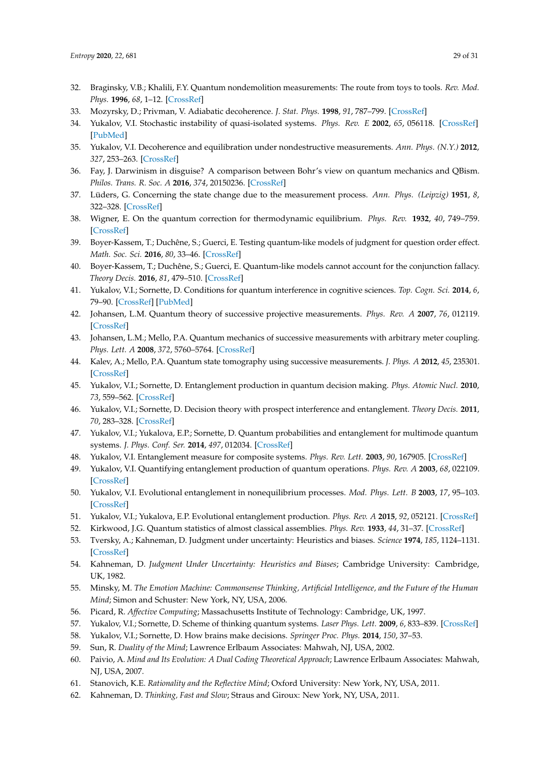- 32. Braginsky, V.B.; Khalili, F.Y. Quantum nondemolition measurements: The route from toys to tools. *Rev. Mod. Phys.* **1996**, *68*, 1–12. [\[CrossRef\]](http://dx.doi.org/10.1103/RevModPhys.68.1)
- 33. Mozyrsky, D.; Privman, V. Adiabatic decoherence. *J. Stat. Phys.* **1998**, *91*, 787–799. [\[CrossRef\]](http://dx.doi.org/10.1023/A:1023042014131)
- 34. Yukalov, V.I. Stochastic instability of quasi-isolated systems. *Phys. Rev. E* **2002**, *65*, 056118. [\[CrossRef\]](http://dx.doi.org/10.1103/PhysRevE.65.056118) [\[PubMed\]](http://www.ncbi.nlm.nih.gov/pubmed/12059658)
- <span id="page-29-0"></span>35. Yukalov, V.I. Decoherence and equilibration under nondestructive measurements. *Ann. Phys. (N.Y.)* **2012**, *327*, 253–263. [\[CrossRef\]](http://dx.doi.org/10.1016/j.aop.2011.09.009)
- <span id="page-29-1"></span>36. Fay, J. Darwinism in disguise? A comparison between Bohr's view on quantum mechanics and QBism. *Philos. Trans. R. Soc. A* **2016**, *374*, 20150236. [\[CrossRef\]](http://dx.doi.org/10.1098/rsta.2015.0236)
- <span id="page-29-2"></span>37. Lüders, G. Concerning the state change due to the measurement process. *Ann. Phys. (Leipzig)* **1951**, *8*, 322–328. [\[CrossRef\]](http://dx.doi.org/10.1002/andp.200610207)
- <span id="page-29-3"></span>38. Wigner, E. On the quantum correction for thermodynamic equilibrium. *Phys. Rev.* **1932**, *40*, 749–759. [\[CrossRef\]](http://dx.doi.org/10.1103/PhysRev.40.749)
- <span id="page-29-4"></span>39. Boyer-Kassem, T.; Duchêne, S.; Guerci, E. Testing quantum-like models of judgment for question order effect. *Math. Soc. Sci.* **2016**, *80*, 33–46. [\[CrossRef\]](http://dx.doi.org/10.1016/j.mathsocsci.2016.01.001)
- <span id="page-29-5"></span>40. Boyer-Kassem, T.; Duchêne, S.; Guerci, E. Quantum-like models cannot account for the conjunction fallacy. *Theory Decis.* **2016**, *81*, 479–510. [\[CrossRef\]](http://dx.doi.org/10.1007/s11238-016-9549-9)
- <span id="page-29-6"></span>41. Yukalov, V.I.; Sornette, D. Conditions for quantum interference in cognitive sciences. *Top. Cogn. Sci.* **2014**, *6*, 79–90. [\[CrossRef\]](http://dx.doi.org/10.1111/tops.12065) [\[PubMed\]](http://www.ncbi.nlm.nih.gov/pubmed/24259280)
- <span id="page-29-7"></span>42. Johansen, L.M. Quantum theory of successive projective measurements. *Phys. Rev. A* **2007**, *76*, 012119. [\[CrossRef\]](http://dx.doi.org/10.1103/PhysRevA.76.012119)
- 43. Johansen, L.M.; Mello, P.A. Quantum mechanics of successive measurements with arbitrary meter coupling. *Phys. Lett. A* **2008**, *372*, 5760–5764. [\[CrossRef\]](http://dx.doi.org/10.1016/j.physleta.2008.07.021)
- <span id="page-29-8"></span>44. Kalev, A.; Mello, P.A. Quantum state tomography using successive measurements. *J. Phys. A* **2012**, *45*, 235301. [\[CrossRef\]](http://dx.doi.org/10.1088/1751-8113/45/23/235301)
- <span id="page-29-9"></span>45. Yukalov, V.I.; Sornette, D. Entanglement production in quantum decision making. *Phys. Atomic Nucl.* **2010**, *73*, 559–562. [\[CrossRef\]](http://dx.doi.org/10.1134/S106377881003021X)
- <span id="page-29-10"></span>46. Yukalov, V.I.; Sornette, D. Decision theory with prospect interference and entanglement. *Theory Decis.* **2011**, *70*, 283–328. [\[CrossRef\]](http://dx.doi.org/10.1007/s11238-010-9202-y)
- 47. Yukalov, V.I.; Yukalova, E.P.; Sornette, D. Quantum probabilities and entanglement for multimode quantum systems. *J. Phys. Conf. Ser.* **2014**, *497*, 012034. [\[CrossRef\]](http://dx.doi.org/10.1088/1742-6596/497/1/012034)
- 48. Yukalov, V.I. Entanglement measure for composite systems. *Phys. Rev. Lett.* **2003**, *90*, 167905. [\[CrossRef\]](http://dx.doi.org/10.1103/PhysRevLett.90.167905)
- 49. Yukalov, V.I. Quantifying entanglement production of quantum operations. *Phys. Rev. A* **2003**, *68*, 022109. [\[CrossRef\]](http://dx.doi.org/10.1103/PhysRevA.68.022109)
- <span id="page-29-21"></span>50. Yukalov, V.I. Evolutional entanglement in nonequilibrium processes. *Mod. Phys. Lett. B* **2003**, *17*, 95–103. [\[CrossRef\]](http://dx.doi.org/10.1142/S021798490300497X)
- <span id="page-29-11"></span>51. Yukalov, V.I.; Yukalova, E.P. Evolutional entanglement production. *Phys. Rev. A* **2015**, *92*, 052121. [\[CrossRef\]](http://dx.doi.org/10.1103/PhysRevA.92.052121)
- <span id="page-29-12"></span>52. Kirkwood, J.G. Quantum statistics of almost classical assemblies. *Phys. Rev.* **1933**, *44*, 31–37. [\[CrossRef\]](http://dx.doi.org/10.1103/PhysRev.44.31)
- <span id="page-29-13"></span>53. Tversky, A.; Kahneman, D. Judgment under uncertainty: Heuristics and biases. *Science* **1974**, *185*, 1124–1131. [\[CrossRef\]](http://dx.doi.org/10.1126/science.185.4157.1124)
- <span id="page-29-14"></span>54. Kahneman, D. *Judgment Under Uncertainty: Heuristics and Biases*; Cambridge University: Cambridge, UK, 1982.
- <span id="page-29-15"></span>55. Minsky, M. *The Emotion Machine: Commonsense Thinking, Artificial Intelligence, and the Future of the Human Mind*; Simon and Schuster: New York, NY, USA, 2006.
- <span id="page-29-16"></span>56. Picard, R. *Affective Computing*; Massachusetts Institute of Technology: Cambridge, UK, 1997.
- <span id="page-29-17"></span>57. Yukalov, V.I.; Sornette, D. Scheme of thinking quantum systems. *Laser Phys. Lett.* **2009**, *6*, 833–839. [\[CrossRef\]](http://dx.doi.org/10.1002/lapl.200910086)
- <span id="page-29-18"></span>58. Yukalov, V.I.; Sornette, D. How brains make decisions. *Springer Proc. Phys.* **2014**, *150*, 37–53.
- <span id="page-29-19"></span>59. Sun, R. *Duality of the Mind*; Lawrence Erlbaum Associates: Mahwah, NJ, USA, 2002.
- 60. Paivio, A. *Mind and Its Evolution: A Dual Coding Theoretical Approach*; Lawrence Erlbaum Associates: Mahwah, NJ, USA, 2007.
- 61. Stanovich, K.E. *Rationality and the Reflective Mind*; Oxford University: New York, NY, USA, 2011.
- <span id="page-29-20"></span>62. Kahneman, D. *Thinking, Fast and Slow*; Straus and Giroux: New York, NY, USA, 2011.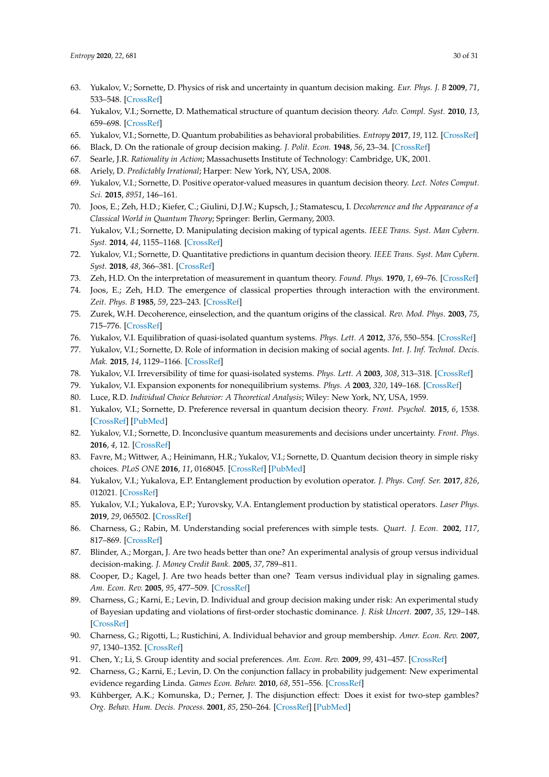- <span id="page-30-0"></span>63. Yukalov, V.; Sornette, D. Physics of risk and uncertainty in quantum decision making. *Eur. Phys. J. B* **2009**, *71*, 533–548. [\[CrossRef\]](http://dx.doi.org/10.1140/epjb/e2009-00245-9)
- <span id="page-30-16"></span>64. Yukalov, V.I.; Sornette, D. Mathematical structure of quantum decision theory. *Adv. Compl. Syst.* **2010**, *13*, 659–698. [\[CrossRef\]](http://dx.doi.org/10.1142/S0219525910002803)
- <span id="page-30-1"></span>65. Yukalov, V.I.; Sornette, D. Quantum probabilities as behavioral probabilities. *Entropy* **2017**, *19*, 112. [\[CrossRef\]](http://dx.doi.org/10.3390/e19030112)
- <span id="page-30-2"></span>66. Black, D. On the rationale of group decision making. *J. Polit. Econ.* **1948**, *56*, 23–34. [\[CrossRef\]](http://dx.doi.org/10.1086/256633)
- <span id="page-30-3"></span>67. Searle, J.R. *Rationality in Action*; Massachusetts Institute of Technology: Cambridge, UK, 2001.
- <span id="page-30-5"></span><span id="page-30-4"></span>68. Ariely, D. *Predictably Irrational*; Harper: New York, NY, USA, 2008.
- 69. Yukalov, V.I.; Sornette, D. Positive operator-valued measures in quantum decision theory. *Lect. Notes Comput. Sci.* **2015**, *8951*, 146–161.
- <span id="page-30-6"></span>70. Joos, E.; Zeh, H.D.; Kiefer, C.; Giulini, D.J.W.; Kupsch, J.; Stamatescu, I. *Decoherence and the Appearance of a Classical World in Quantum Theory*; Springer: Berlin, Germany, 2003.
- <span id="page-30-7"></span>71. Yukalov, V.I.; Sornette, D. Manipulating decision making of typical agents. *IEEE Trans. Syst. Man Cybern. Syst.* **2014**, *44*, 1155–1168. [\[CrossRef\]](http://dx.doi.org/10.1109/TSMC.2014.2314283)
- <span id="page-30-8"></span>72. Yukalov, V.I.; Sornette, D. Quantitative predictions in quantum decision theory. *IEEE Trans. Syst. Man Cybern. Syst.* **2018**, *48*, 366–381. [\[CrossRef\]](http://dx.doi.org/10.1109/TSMC.2016.2596578)
- <span id="page-30-9"></span>73. Zeh, H.D. On the interpretation of measurement in quantum theory. *Found. Phys.* **1970**, *1*, 69–76. [\[CrossRef\]](http://dx.doi.org/10.1007/BF00708656)
- 74. Joos, E.; Zeh, H.D. The emergence of classical properties through interaction with the environment. *Zeit. Phys. B* **1985**, *59*, 223–243. [\[CrossRef\]](http://dx.doi.org/10.1007/BF01725541)
- <span id="page-30-10"></span>75. Zurek, W.H. Decoherence, einselection, and the quantum origins of the classical. *Rev. Mod. Phys.* **2003**, *75*, 715–776. [\[CrossRef\]](http://dx.doi.org/10.1103/RevModPhys.75.715)
- <span id="page-30-11"></span>76. Yukalov, V.I. Equilibration of quasi-isolated quantum systems. *Phys. Lett. A* **2012**, *376*, 550–554. [\[CrossRef\]](http://dx.doi.org/10.1016/j.physleta.2011.11.015)
- <span id="page-30-12"></span>77. Yukalov, V.I.; Sornette, D. Role of information in decision making of social agents. *Int. J. Inf. Technol. Decis. Mak.* **2015**, *14*, 1129–1166. [\[CrossRef\]](http://dx.doi.org/10.1142/S0219622014500564)
- <span id="page-30-13"></span>78. Yukalov, V.I. Irreversibility of time for quasi-isolated systems. *Phys. Lett. A* **2003**, *308*, 313–318. [\[CrossRef\]](http://dx.doi.org/10.1016/S0375-9601(03)00056-2)
- <span id="page-30-14"></span>79. Yukalov, V.I. Expansion exponents for nonequilibrium systems. *Phys. A* **2003**, *320*, 149–168. [\[CrossRef\]](http://dx.doi.org/10.1016/S0378-4371(02)01590-X)
- <span id="page-30-15"></span>80. Luce, R.D. *Individual Choice Behavior: A Theoretical Analysis*; Wiley: New York, NY, USA, 1959.
- <span id="page-30-17"></span>81. Yukalov, V.I.; Sornette, D. Preference reversal in quantum decision theory. *Front. Psychol.* **2015**, *6*, 1538. [\[CrossRef\]](http://dx.doi.org/10.3389/fpsyg.2015.01538) [\[PubMed\]](http://www.ncbi.nlm.nih.gov/pubmed/26500592)
- <span id="page-30-18"></span>82. Yukalov, V.I.; Sornette, D. Inconclusive quantum measurements and decisions under uncertainty. *Front. Phys.* **2016**, *4*, 12. [\[CrossRef\]](http://dx.doi.org/10.3389/fphy.2016.00012)
- <span id="page-30-19"></span>83. Favre, M.; Wittwer, A.; Heinimann, H.R.; Yukalov, V.I.; Sornette, D. Quantum decision theory in simple risky choices. *PLoS ONE* **2016**, *11*, 0168045. [\[CrossRef\]](http://dx.doi.org/10.1371/journal.pone.0168045) [\[PubMed\]](http://www.ncbi.nlm.nih.gov/pubmed/27936217)
- <span id="page-30-20"></span>84. Yukalov, V.I.; Yukalova, E.P. Entanglement production by evolution operator. *J. Phys. Conf. Ser.* **2017**, *826*, 012021. [\[CrossRef\]](http://dx.doi.org/10.1088/1742-6596/826/1/012021)
- <span id="page-30-21"></span>85. Yukalov, V.I.; Yukalova, E.P.; Yurovsky, V.A. Entanglement production by statistical operators. *Laser Phys.* **2019**, *29*, 065502. [\[CrossRef\]](http://dx.doi.org/10.1088/1555-6611/ab0cf9)
- <span id="page-30-22"></span>86. Charness, G.; Rabin, M. Understanding social preferences with simple tests. *Quart. J. Econ.* **2002**, *117*, 817–869. [\[CrossRef\]](http://dx.doi.org/10.1162/003355302760193904)
- 87. Blinder, A.; Morgan, J. Are two heads better than one? An experimental analysis of group versus individual decision-making. *J. Money Credit Bank.* **2005**, *37*, 789–811.
- 88. Cooper, D.; Kagel, J. Are two heads better than one? Team versus individual play in signaling games. *Am. Econ. Rev.* **2005**, *95*, 477–509. [\[CrossRef\]](http://dx.doi.org/10.1257/0002828054201431)
- 89. Charness, G.; Karni, E.; Levin, D. Individual and group decision making under risk: An experimental study of Bayesian updating and violations of first-order stochastic dominance. *J. Risk Uncert.* **2007**, *35*, 129–148. [\[CrossRef\]](http://dx.doi.org/10.1007/s11166-007-9020-y)
- 90. Charness, G.; Rigotti, L.; Rustichini, A. Individual behavior and group membership. *Amer. Econ. Rev.* **2007**, *97*, 1340–1352. [\[CrossRef\]](http://dx.doi.org/10.1257/aer.97.4.1340)
- 91. Chen, Y.; Li, S. Group identity and social preferences. *Am. Econ. Rev.* **2009**, *99*, 431–457. [\[CrossRef\]](http://dx.doi.org/10.1257/aer.99.1.431)
- 92. Charness, G.; Karni, E.; Levin, D. On the conjunction fallacy in probability judgement: New experimental evidence regarding Linda. *Games Econ. Behav.* **2010**, *68*, 551–556. [\[CrossRef\]](http://dx.doi.org/10.1016/j.geb.2009.09.003)
- <span id="page-30-23"></span>93. Kühberger, A.K.; Komunska, D.; Perner, J. The disjunction effect: Does it exist for two-step gambles? *Org. Behav. Hum. Decis. Process.* **2001**, *85*, 250–264. [\[CrossRef\]](http://dx.doi.org/10.1006/obhd.2000.2942) [\[PubMed\]](http://www.ncbi.nlm.nih.gov/pubmed/11461201)